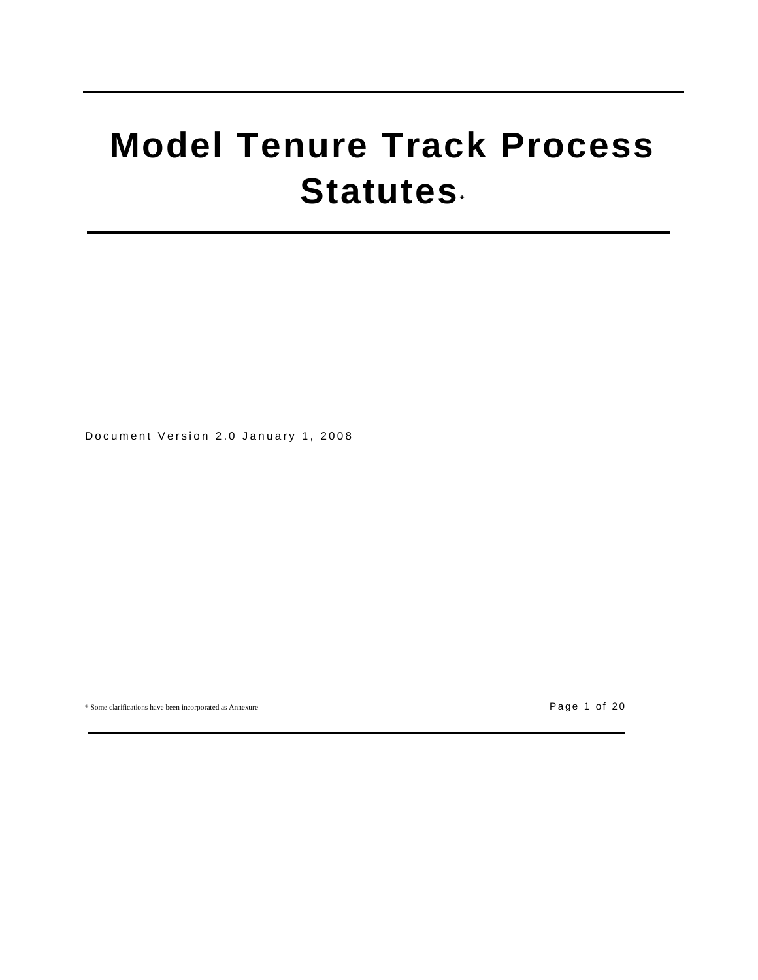# **Model Tenure Track Process Statutes\***

Document Version 2.0 January 1, 2008

\* Some clarifications have been incorporated as Annexure P a g e 1 o f 2 0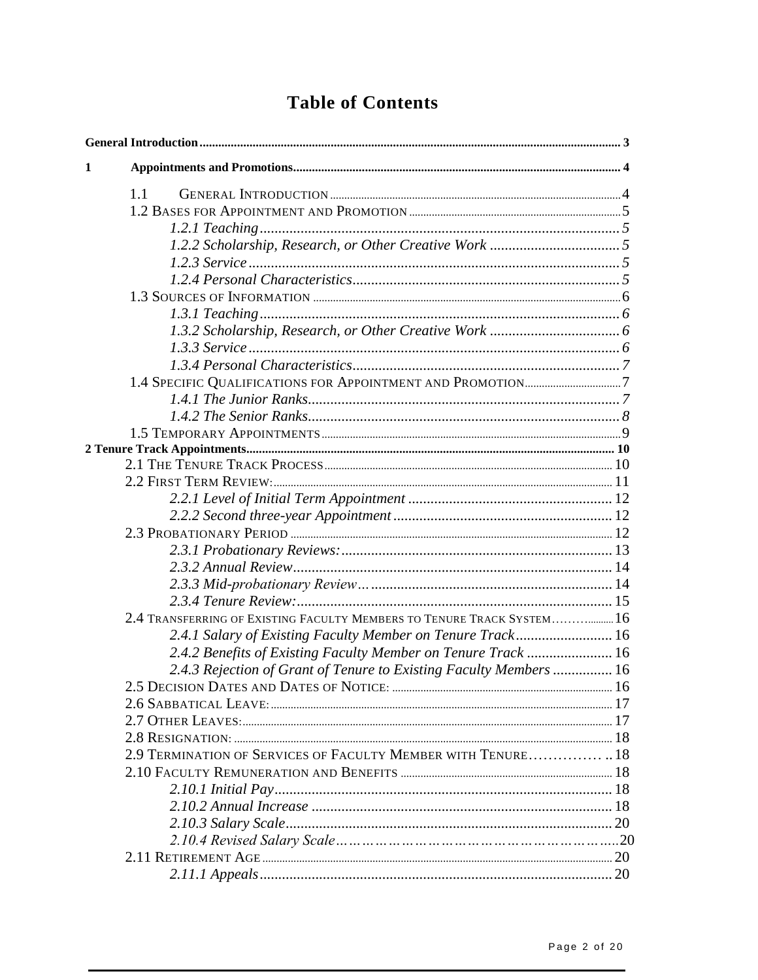# **Table of Contents**

| 1                                                                      |  |
|------------------------------------------------------------------------|--|
|                                                                        |  |
| 1.1                                                                    |  |
|                                                                        |  |
|                                                                        |  |
|                                                                        |  |
|                                                                        |  |
|                                                                        |  |
|                                                                        |  |
|                                                                        |  |
|                                                                        |  |
|                                                                        |  |
|                                                                        |  |
|                                                                        |  |
|                                                                        |  |
|                                                                        |  |
|                                                                        |  |
|                                                                        |  |
|                                                                        |  |
|                                                                        |  |
|                                                                        |  |
|                                                                        |  |
|                                                                        |  |
|                                                                        |  |
|                                                                        |  |
|                                                                        |  |
|                                                                        |  |
| 2.4 TRANSFERRING OF EXISTING FACULTY MEMBERS TO TENURE TRACK SYSTEM 16 |  |
| 2.4.1 Salary of Existing Faculty Member on Tenure Track 16             |  |
| 2.4.2 Benefits of Existing Faculty Member on Tenure Track  16          |  |
| 2.4.3 Rejection of Grant of Tenure to Existing Faculty Members  16     |  |
|                                                                        |  |
|                                                                        |  |
|                                                                        |  |
|                                                                        |  |
| 2.9 TERMINATION OF SERVICES OF FACULTY MEMBER WITH TENURE 18           |  |
|                                                                        |  |
|                                                                        |  |
|                                                                        |  |
|                                                                        |  |
|                                                                        |  |
|                                                                        |  |
|                                                                        |  |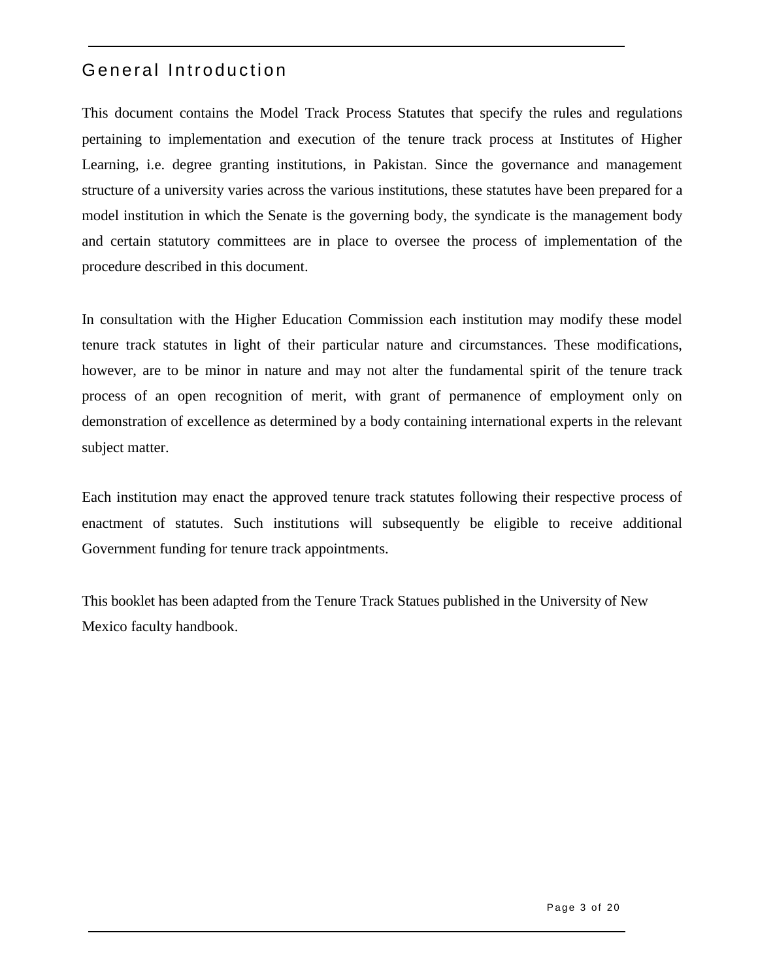# General Introduction

This document contains the Model Track Process Statutes that specify the rules and regulations pertaining to implementation and execution of the tenure track process at Institutes of Higher Learning, i.e. degree granting institutions, in Pakistan. Since the governance and management structure of a university varies across the various institutions, these statutes have been prepared for a model institution in which the Senate is the governing body, the syndicate is the management body and certain statutory committees are in place to oversee the process of implementation of the procedure described in this document.

In consultation with the Higher Education Commission each institution may modify these model tenure track statutes in light of their particular nature and circumstances. These modifications, however, are to be minor in nature and may not alter the fundamental spirit of the tenure track process of an open recognition of merit, with grant of permanence of employment only on demonstration of excellence as determined by a body containing international experts in the relevant subject matter.

Each institution may enact the approved tenure track statutes following their respective process of enactment of statutes. Such institutions will subsequently be eligible to receive additional Government funding for tenure track appointments.

This booklet has been adapted from the Tenure Track Statues published in the University of New Mexico faculty handbook.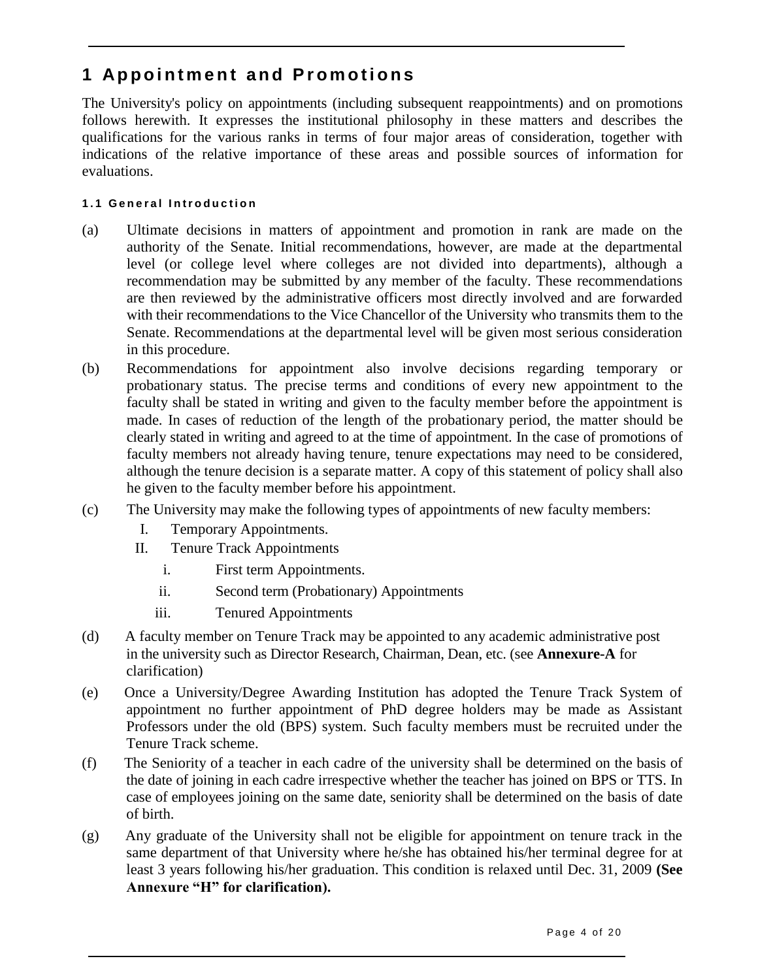# **1 Ap p o i n t m e n t a n d P r o m o t i o n s**

The University's policy on appointments (including subsequent reappointments) and on promotions follows herewith. It expresses the institutional philosophy in these matters and describes the qualifications for the various ranks in terms of four major areas of consideration, together with indications of the relative importance of these areas and possible sources of information for evaluations.

### **1 . 1 G e n e r a l I n t r o d u c t i o n**

- (a) Ultimate decisions in matters of appointment and promotion in rank are made on the authority of the Senate. Initial recommendations, however, are made at the departmental level (or college level where colleges are not divided into departments), although a recommendation may be submitted by any member of the faculty. These recommendations are then reviewed by the administrative officers most directly involved and are forwarded with their recommendations to the Vice Chancellor of the University who transmits them to the Senate. Recommendations at the departmental level will be given most serious consideration in this procedure.
- (b) Recommendations for appointment also involve decisions regarding temporary or probationary status. The precise terms and conditions of every new appointment to the faculty shall be stated in writing and given to the faculty member before the appointment is made. In cases of reduction of the length of the probationary period, the matter should be clearly stated in writing and agreed to at the time of appointment. In the case of promotions of faculty members not already having tenure, tenure expectations may need to be considered, although the tenure decision is a separate matter. A copy of this statement of policy shall also he given to the faculty member before his appointment.
- (c) The University may make the following types of appointments of new faculty members:
	- I. Temporary Appointments.
	- II. Tenure Track Appointments
		- i. First term Appointments.
		- ii. Second term (Probationary) Appointments
		- iii. Tenured Appointments
- (d) A faculty member on Tenure Track may be appointed to any academic administrative post in the university such as Director Research, Chairman, Dean, etc. (see **Annexure-A** for clarification)
- (e) Once a University/Degree Awarding Institution has adopted the Tenure Track System of appointment no further appointment of PhD degree holders may be made as Assistant Professors under the old (BPS) system. Such faculty members must be recruited under the Tenure Track scheme.
- (f) The Seniority of a teacher in each cadre of the university shall be determined on the basis of the date of joining in each cadre irrespective whether the teacher has joined on BPS or TTS. In case of employees joining on the same date, seniority shall be determined on the basis of date of birth.
- (g) Any graduate of the University shall not be eligible for appointment on tenure track in the same department of that University where he/she has obtained his/her terminal degree for at least 3 years following his/her graduation. This condition is relaxed until Dec. 31, 2009 **(See Annexure "H" for clarification).**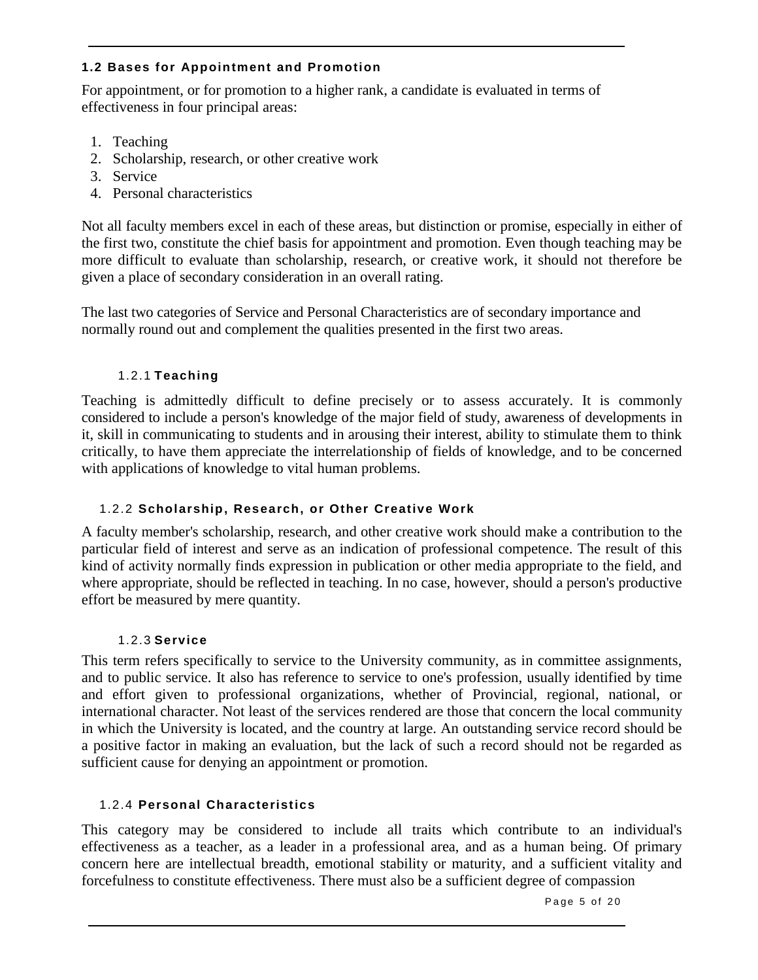### **1.2 Bases for Appointment and Promotion**

For appointment, or for promotion to a higher rank, a candidate is evaluated in terms of effectiveness in four principal areas:

- 1. Teaching
- 2. Scholarship, research, or other creative work
- 3. Service
- 4. Personal characteristics

Not all faculty members excel in each of these areas, but distinction or promise, especially in either of the first two, constitute the chief basis for appointment and promotion. Even though teaching may be more difficult to evaluate than scholarship, research, or creative work, it should not therefore be given a place of secondary consideration in an overall rating.

The last two categories of Service and Personal Characteristics are of secondary importance and normally round out and complement the qualities presented in the first two areas.

### 1.2.1 **Teaching**

Teaching is admittedly difficult to define precisely or to assess accurately. It is commonly considered to include a person's knowledge of the major field of study, awareness of developments in it, skill in communicating to students and in arousing their interest, ability to stimulate them to think critically, to have them appreciate the interrelationship of fields of knowledge, and to be concerned with applications of knowledge to vital human problems.

### 1.2.2 **Scholarship, Research, or Other Creative Work**

A faculty member's scholarship, research, and other creative work should make a contribution to the particular field of interest and serve as an indication of professional competence. The result of this kind of activity normally finds expression in publication or other media appropriate to the field, and where appropriate, should be reflected in teaching. In no case, however, should a person's productive effort be measured by mere quantity.

### 1.2.3 **Service**

This term refers specifically to service to the University community, as in committee assignments, and to public service. It also has reference to service to one's profession, usually identified by time and effort given to professional organizations, whether of Provincial, regional, national, or international character. Not least of the services rendered are those that concern the local community in which the University is located, and the country at large. An outstanding service record should be a positive factor in making an evaluation, but the lack of such a record should not be regarded as sufficient cause for denying an appointment or promotion.

### 1.2.4 **Personal Characteristics**

This category may be considered to include all traits which contribute to an individual's effectiveness as a teacher, as a leader in a professional area, and as a human being. Of primary concern here are intellectual breadth, emotional stability or maturity, and a sufficient vitality and forcefulness to constitute effectiveness. There must also be a sufficient degree of compassion

Page 5 of 20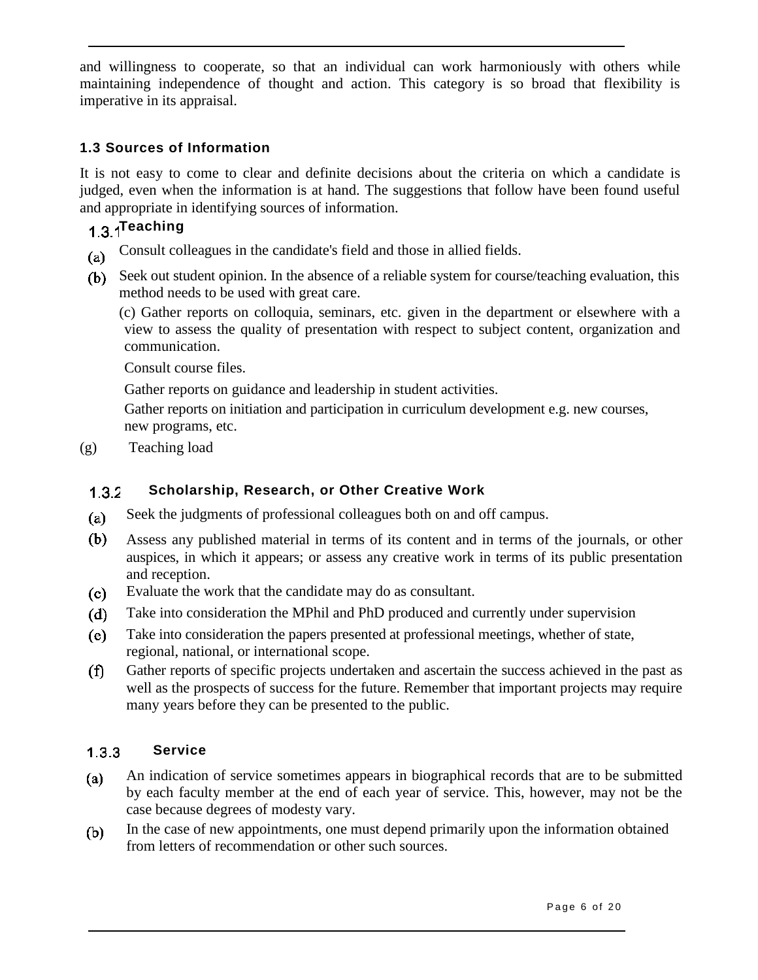and willingness to cooperate, so that an individual can work harmoniously with others while maintaining independence of thought and action. This category is so broad that flexibility is imperative in its appraisal.

### **1.3 Sources of Information**

It is not easy to come to clear and definite decisions about the criteria on which a candidate is judged, even when the information is at hand. The suggestions that follow have been found useful and appropriate in identifying sources of information.

# 1.3.1<sup>Teaching</sup>

- Consult colleagues in the candidate's field and those in allied fields.  $(a)$
- Seek out student opinion. In the absence of a reliable system for course/teaching evaluation, this method needs to be used with great care.

(c) Gather reports on colloquia, seminars, etc. given in the department or elsewhere with a view to assess the quality of presentation with respect to subject content, organization and communication.

Consult course files.

Gather reports on guidance and leadership in student activities.

Gather reports on initiation and participation in curriculum development e.g. new courses, new programs, etc.

(g) Teaching load

#### **Scholarship, Research, or Other Creative Work**  $1.3.2$

- Seek the judgments of professional colleagues both on and off campus.  $(a)$
- (b) Assess any published material in terms of its content and in terms of the journals, or other auspices, in which it appears; or assess any creative work in terms of its public presentation and reception.
- Evaluate the work that the candidate may do as consultant.  $(c)$
- $(d)$ Take into consideration the MPhil and PhD produced and currently under supervision
- (e) Take into consideration the papers presented at professional meetings, whether of state, regional, national, or international scope.
- Gather reports of specific projects undertaken and ascertain the success achieved in the past as  $(f)$ well as the prospects of success for the future. Remember that important projects may require many years before they can be presented to the public.

#### **Service**  $133$

- An indication of service sometimes appears in biographical records that are to be submitted  $(a)$ by each faculty member at the end of each year of service. This, however, may not be the case because degrees of modesty vary.
- In the case of new appointments, one must depend primarily upon the information obtained (b) from letters of recommendation or other such sources.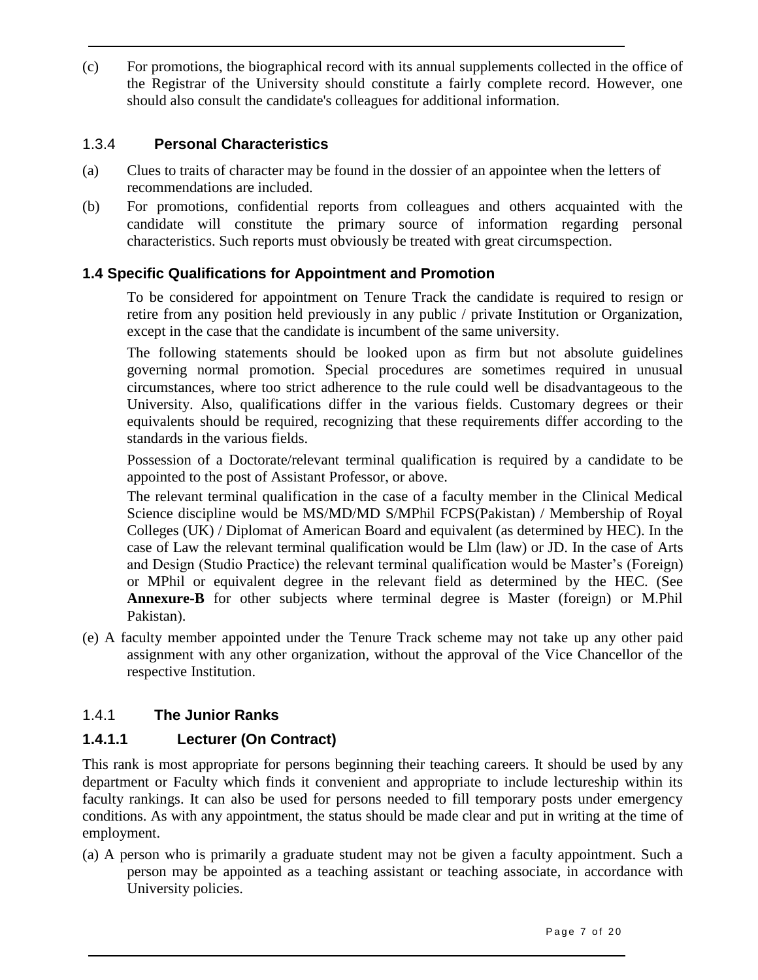(c) For promotions, the biographical record with its annual supplements collected in the office of the Registrar of the University should constitute a fairly complete record. However, one should also consult the candidate's colleagues for additional information.

### 1.3.4 **Personal Characteristics**

- (a) Clues to traits of character may be found in the dossier of an appointee when the letters of recommendations are included.
- (b) For promotions, confidential reports from colleagues and others acquainted with the candidate will constitute the primary source of information regarding personal characteristics. Such reports must obviously be treated with great circumspection.

### **1.4 Specific Qualifications for Appointment and Promotion**

To be considered for appointment on Tenure Track the candidate is required to resign or retire from any position held previously in any public / private Institution or Organization, except in the case that the candidate is incumbent of the same university.

The following statements should be looked upon as firm but not absolute guidelines governing normal promotion. Special procedures are sometimes required in unusual circumstances, where too strict adherence to the rule could well be disadvantageous to the University. Also, qualifications differ in the various fields. Customary degrees or their equivalents should be required, recognizing that these requirements differ according to the standards in the various fields.

Possession of a Doctorate/relevant terminal qualification is required by a candidate to be appointed to the post of Assistant Professor, or above.

The relevant terminal qualification in the case of a faculty member in the Clinical Medical Science discipline would be MS/MD/MD S/MPhil FCPS(Pakistan) / Membership of Royal Colleges (UK) / Diplomat of American Board and equivalent (as determined by HEC). In the case of Law the relevant terminal qualification would be Llm (law) or JD. In the case of Arts and Design (Studio Practice) the relevant terminal qualification would be Master's (Foreign) or MPhil or equivalent degree in the relevant field as determined by the HEC. (See **Annexure-B** for other subjects where terminal degree is Master (foreign) or M.Phil Pakistan).

(e) A faculty member appointed under the Tenure Track scheme may not take up any other paid assignment with any other organization, without the approval of the Vice Chancellor of the respective Institution.

### 1.4.1 **The Junior Ranks**

### **1.4.1.1 Lecturer (On Contract)**

This rank is most appropriate for persons beginning their teaching careers. It should be used by any department or Faculty which finds it convenient and appropriate to include lectureship within its faculty rankings. It can also be used for persons needed to fill temporary posts under emergency conditions. As with any appointment, the status should be made clear and put in writing at the time of employment.

(a) A person who is primarily a graduate student may not be given a faculty appointment. Such a person may be appointed as a teaching assistant or teaching associate, in accordance with University policies.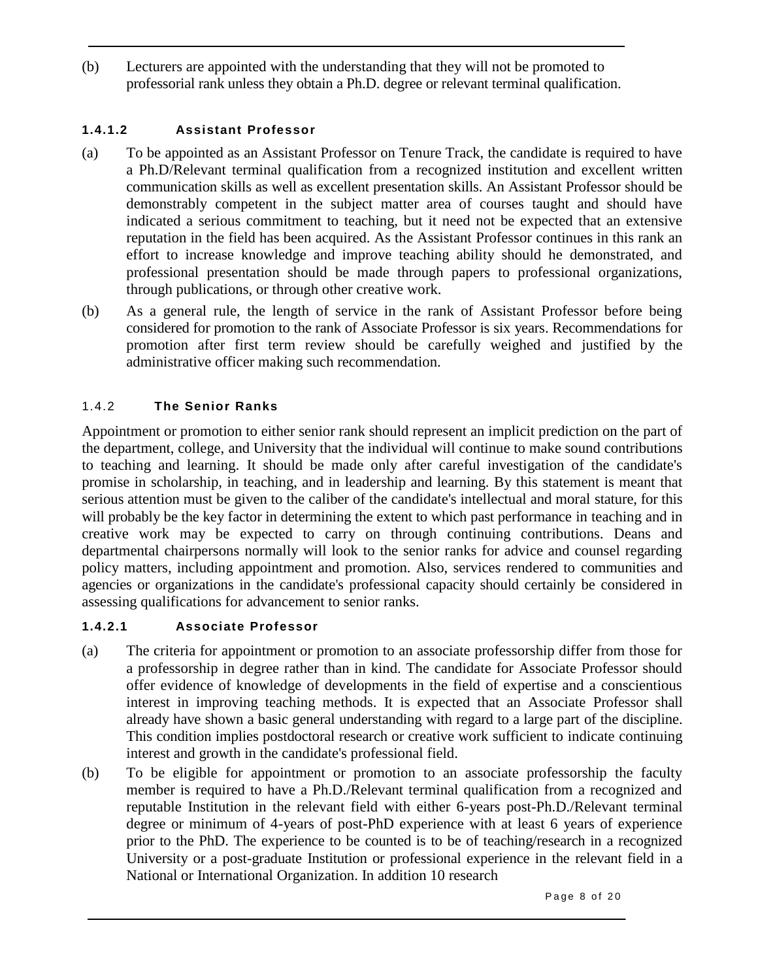(b) Lecturers are appointed with the understanding that they will not be promoted to professorial rank unless they obtain a Ph.D. degree or relevant terminal qualification.

### **1.4.1.2 Assistant Professor**

- (a) To be appointed as an Assistant Professor on Tenure Track, the candidate is required to have a Ph.D/Relevant terminal qualification from a recognized institution and excellent written communication skills as well as excellent presentation skills. An Assistant Professor should be demonstrably competent in the subject matter area of courses taught and should have indicated a serious commitment to teaching, but it need not be expected that an extensive reputation in the field has been acquired. As the Assistant Professor continues in this rank an effort to increase knowledge and improve teaching ability should he demonstrated, and professional presentation should be made through papers to professional organizations, through publications, or through other creative work.
- (b) As a general rule, the length of service in the rank of Assistant Professor before being considered for promotion to the rank of Associate Professor is six years. Recommendations for promotion after first term review should be carefully weighed and justified by the administrative officer making such recommendation.

### 1.4.2 **The Senior Ranks**

Appointment or promotion to either senior rank should represent an implicit prediction on the part of the department, college, and University that the individual will continue to make sound contributions to teaching and learning. It should be made only after careful investigation of the candidate's promise in scholarship, in teaching, and in leadership and learning. By this statement is meant that serious attention must be given to the caliber of the candidate's intellectual and moral stature, for this will probably be the key factor in determining the extent to which past performance in teaching and in creative work may be expected to carry on through continuing contributions. Deans and departmental chairpersons normally will look to the senior ranks for advice and counsel regarding policy matters, including appointment and promotion. Also, services rendered to communities and agencies or organizations in the candidate's professional capacity should certainly be considered in assessing qualifications for advancement to senior ranks.

### **1.4.2.1 Associate Professor**

- (a) The criteria for appointment or promotion to an associate professorship differ from those for a professorship in degree rather than in kind. The candidate for Associate Professor should offer evidence of knowledge of developments in the field of expertise and a conscientious interest in improving teaching methods. It is expected that an Associate Professor shall already have shown a basic general understanding with regard to a large part of the discipline. This condition implies postdoctoral research or creative work sufficient to indicate continuing interest and growth in the candidate's professional field.
- (b) To be eligible for appointment or promotion to an associate professorship the faculty member is required to have a Ph.D./Relevant terminal qualification from a recognized and reputable Institution in the relevant field with either 6-years post-Ph.D./Relevant terminal degree or minimum of 4-years of post-PhD experience with at least 6 years of experience prior to the PhD. The experience to be counted is to be of teaching/research in a recognized University or a post-graduate Institution or professional experience in the relevant field in a National or International Organization. In addition 10 research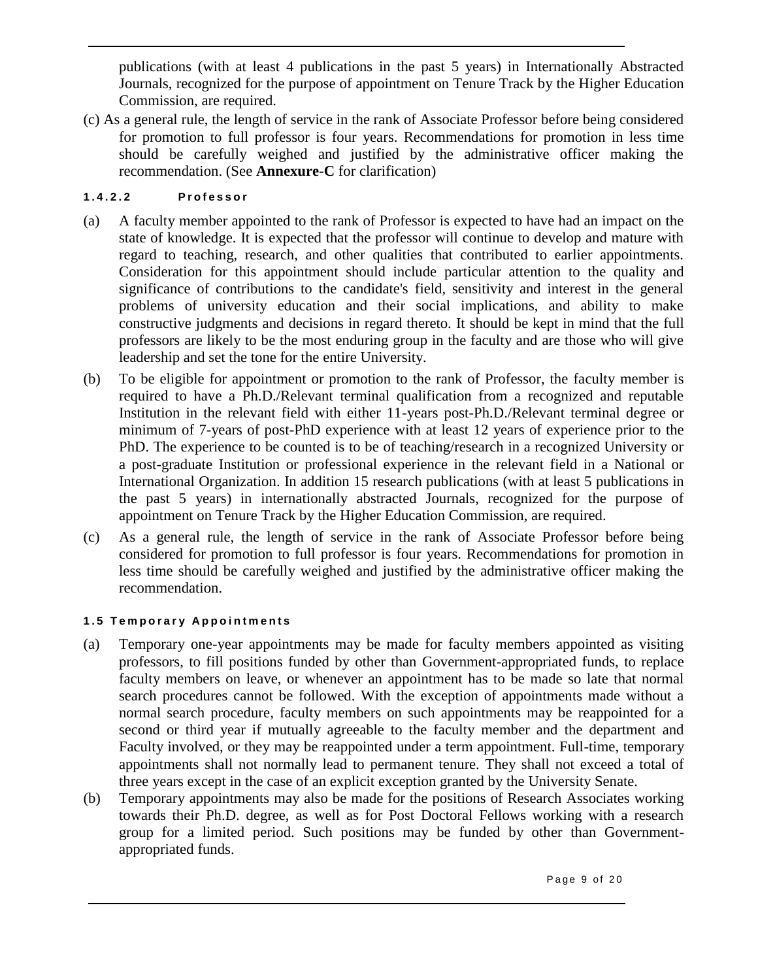publications (with at least 4 publications in the past 5 years) in Internationally Abstracted Journals, recognized for the purpose of appointment on Tenure Track by the Higher Education Commission, are required.

(c) As a general rule, the length of service in the rank of Associate Professor before being considered for promotion to full professor is four years. Recommendations for promotion in less time should be carefully weighed and justified by the administrative officer making the recommendation. (See **Annexure-C** for clarification)

### **1 . 4 . 2 . 2 P r o f e s s o r**

- (a) A faculty member appointed to the rank of Professor is expected to have had an impact on the state of knowledge. It is expected that the professor will continue to develop and mature with regard to teaching, research, and other qualities that contributed to earlier appointments. Consideration for this appointment should include particular attention to the quality and significance of contributions to the candidate's field, sensitivity and interest in the general problems of university education and their social implications, and ability to make constructive judgments and decisions in regard thereto. It should be kept in mind that the full professors are likely to be the most enduring group in the faculty and are those who will give leadership and set the tone for the entire University.
- (b) To be eligible for appointment or promotion to the rank of Professor, the faculty member is required to have a Ph.D./Relevant terminal qualification from a recognized and reputable Institution in the relevant field with either 11-years post-Ph.D./Relevant terminal degree or minimum of 7-years of post-PhD experience with at least 12 years of experience prior to the PhD. The experience to be counted is to be of teaching/research in a recognized University or a post-graduate Institution or professional experience in the relevant field in a National or International Organization. In addition 15 research publications (with at least 5 publications in the past 5 years) in internationally abstracted Journals, recognized for the purpose of appointment on Tenure Track by the Higher Education Commission, are required.
- (c) As a general rule, the length of service in the rank of Associate Professor before being considered for promotion to full professor is four years. Recommendations for promotion in less time should be carefully weighed and justified by the administrative officer making the recommendation.

### **1 . 5 T e m p o r a r y A p p o i n t m e n t s**

- (a) Temporary one-year appointments may be made for faculty members appointed as visiting professors, to fill positions funded by other than Government-appropriated funds, to replace faculty members on leave, or whenever an appointment has to be made so late that normal search procedures cannot be followed. With the exception of appointments made without a normal search procedure, faculty members on such appointments may be reappointed for a second or third year if mutually agreeable to the faculty member and the department and Faculty involved, or they may be reappointed under a term appointment. Full-time, temporary appointments shall not normally lead to permanent tenure. They shall not exceed a total of three years except in the case of an explicit exception granted by the University Senate.
- (b) Temporary appointments may also be made for the positions of Research Associates working towards their Ph.D. degree, as well as for Post Doctoral Fellows working with a research group for a limited period. Such positions may be funded by other than Governmentappropriated funds.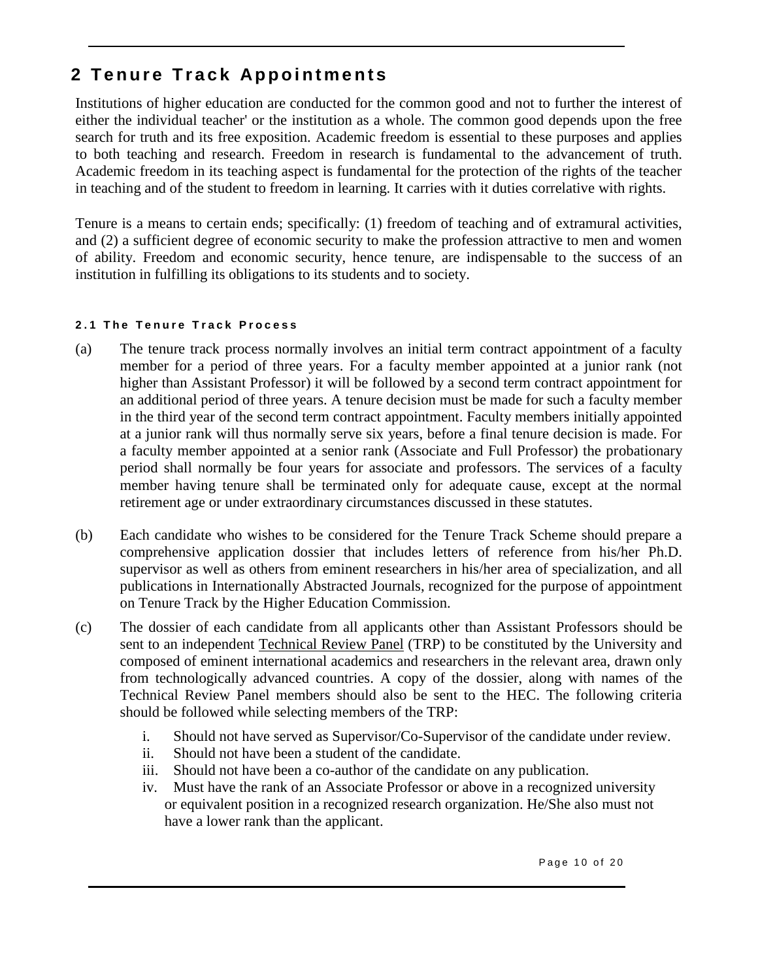# **2 Tenure Track Appointments**

Institutions of higher education are conducted for the common good and not to further the interest of either the individual teacher' or the institution as a whole. The common good depends upon the free search for truth and its free exposition. Academic freedom is essential to these purposes and applies to both teaching and research. Freedom in research is fundamental to the advancement of truth. Academic freedom in its teaching aspect is fundamental for the protection of the rights of the teacher in teaching and of the student to freedom in learning. It carries with it duties correlative with rights.

Tenure is a means to certain ends; specifically: (1) freedom of teaching and of extramural activities, and (2) a sufficient degree of economic security to make the profession attractive to men and women of ability. Freedom and economic security, hence tenure, are indispensable to the success of an institution in fulfilling its obligations to its students and to society.

### 2.1 The Tenure Track Process

- (a) The tenure track process normally involves an initial term contract appointment of a faculty member for a period of three years. For a faculty member appointed at a junior rank (not higher than Assistant Professor) it will be followed by a second term contract appointment for an additional period of three years. A tenure decision must be made for such a faculty member in the third year of the second term contract appointment. Faculty members initially appointed at a junior rank will thus normally serve six years, before a final tenure decision is made. For a faculty member appointed at a senior rank (Associate and Full Professor) the probationary period shall normally be four years for associate and professors. The services of a faculty member having tenure shall be terminated only for adequate cause, except at the normal retirement age or under extraordinary circumstances discussed in these statutes.
- (b) Each candidate who wishes to be considered for the Tenure Track Scheme should prepare a comprehensive application dossier that includes letters of reference from his/her Ph.D. supervisor as well as others from eminent researchers in his/her area of specialization, and all publications in Internationally Abstracted Journals, recognized for the purpose of appointment on Tenure Track by the Higher Education Commission.
- (c) The dossier of each candidate from all applicants other than Assistant Professors should be sent to an independent Technical Review Panel (TRP) to be constituted by the University and composed of eminent international academics and researchers in the relevant area, drawn only from technologically advanced countries. A copy of the dossier, along with names of the Technical Review Panel members should also be sent to the HEC. The following criteria should be followed while selecting members of the TRP:
	- i. Should not have served as Supervisor/Co-Supervisor of the candidate under review.
	- ii. Should not have been a student of the candidate.
	- iii. Should not have been a co-author of the candidate on any publication.
	- iv. Must have the rank of an Associate Professor or above in a recognized university or equivalent position in a recognized research organization. He/She also must not have a lower rank than the applicant.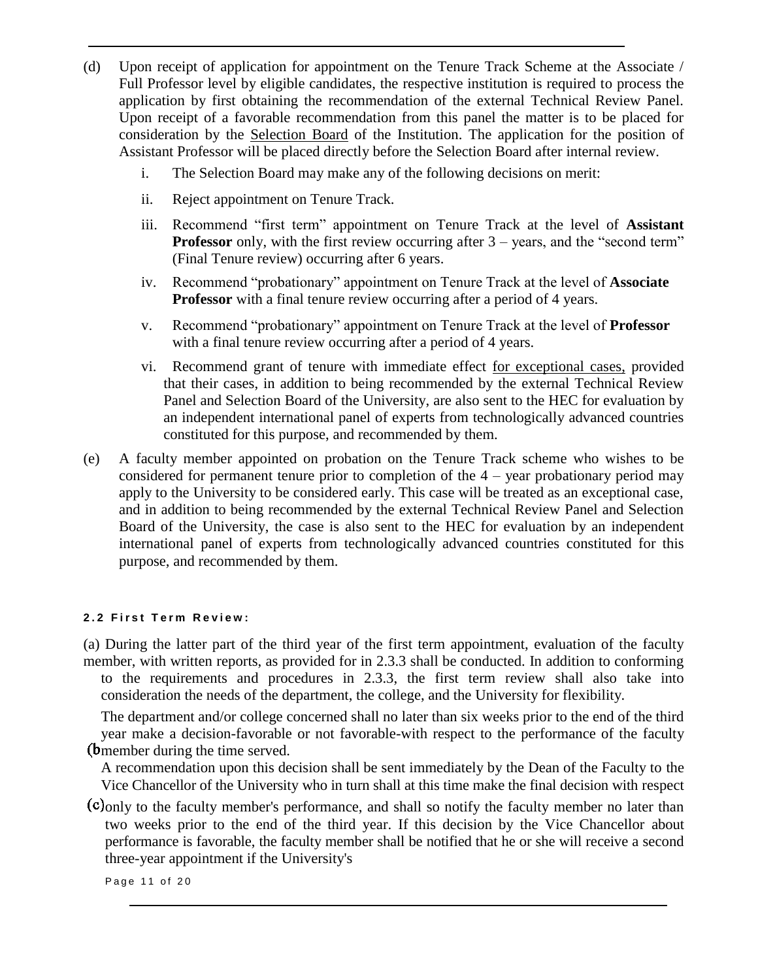- (d) Upon receipt of application for appointment on the Tenure Track Scheme at the Associate / Full Professor level by eligible candidates, the respective institution is required to process the application by first obtaining the recommendation of the external Technical Review Panel. Upon receipt of a favorable recommendation from this panel the matter is to be placed for consideration by the Selection Board of the Institution. The application for the position of Assistant Professor will be placed directly before the Selection Board after internal review.
	- i. The Selection Board may make any of the following decisions on merit:
	- ii. Reject appointment on Tenure Track.
	- iii. Recommend "first term" appointment on Tenure Track at the level of **Assistant Professor** only, with the first review occurring after 3 – years, and the "second term" (Final Tenure review) occurring after 6 years.
	- iv. Recommend "probationary" appointment on Tenure Track at the level of **Associate Professor** with a final tenure review occurring after a period of 4 years.
	- v. Recommend "probationary" appointment on Tenure Track at the level of **Professor**  with a final tenure review occurring after a period of 4 years.
	- vi. Recommend grant of tenure with immediate effect for exceptional cases, provided that their cases, in addition to being recommended by the external Technical Review Panel and Selection Board of the University, are also sent to the HEC for evaluation by an independent international panel of experts from technologically advanced countries constituted for this purpose, and recommended by them.
- (e) A faculty member appointed on probation on the Tenure Track scheme who wishes to be considered for permanent tenure prior to completion of the 4 – year probationary period may apply to the University to be considered early. This case will be treated as an exceptional case, and in addition to being recommended by the external Technical Review Panel and Selection Board of the University, the case is also sent to the HEC for evaluation by an independent international panel of experts from technologically advanced countries constituted for this purpose, and recommended by them.

### **2 . 2 F i r s t T e r m R e v i e w :**

(a) During the latter part of the third year of the first term appointment, evaluation of the faculty member, with written reports, as provided for in 2.3.3 shall be conducted. In addition to conforming to the requirements and procedures in 2.3.3, the first term review shall also take into consideration the needs of the department, the college, and the University for flexibility.

The department and/or college concerned shall no later than six weeks prior to the end of the third year make a decision-favorable or not favorable-with respect to the performance of the faculty **(b**member during the time served.

A recommendation upon this decision shall be sent immediately by the Dean of the Faculty to the Vice Chancellor of the University who in turn shall at this time make the final decision with respect

(c) only to the faculty member's performance, and shall so notify the faculty member no later than two weeks prior to the end of the third year. If this decision by the Vice Chancellor about performance is favorable, the faculty member shall be notified that he or she will receive a second three-year appointment if the University's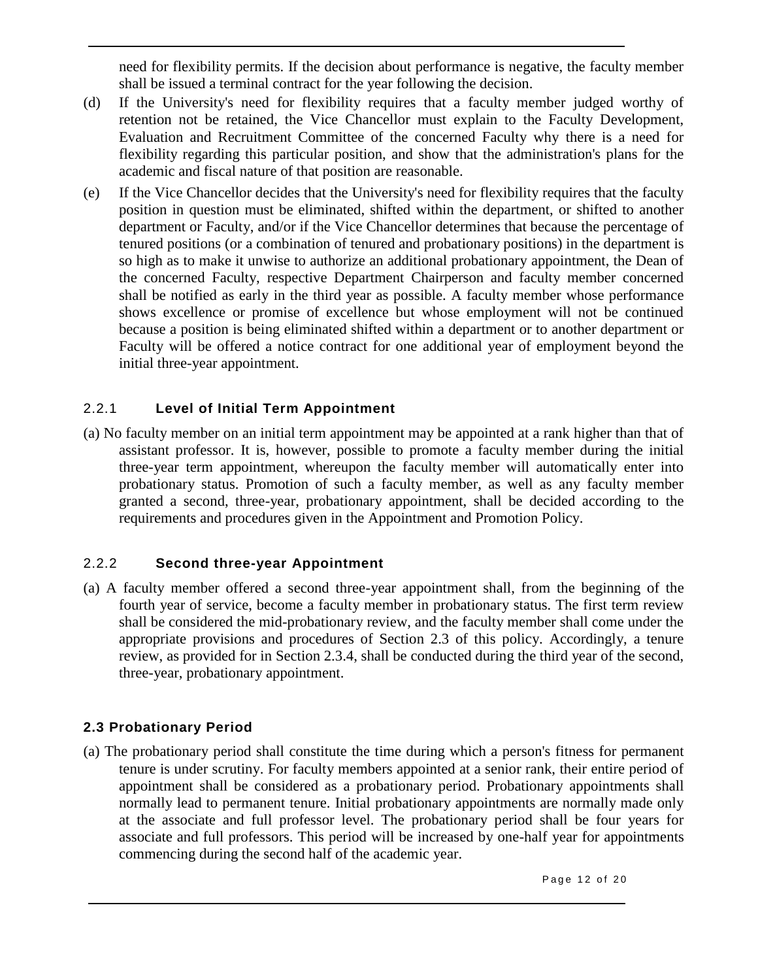need for flexibility permits. If the decision about performance is negative, the faculty member shall be issued a terminal contract for the year following the decision.

- (d) If the University's need for flexibility requires that a faculty member judged worthy of retention not be retained, the Vice Chancellor must explain to the Faculty Development, Evaluation and Recruitment Committee of the concerned Faculty why there is a need for flexibility regarding this particular position, and show that the administration's plans for the academic and fiscal nature of that position are reasonable.
- (e) If the Vice Chancellor decides that the University's need for flexibility requires that the faculty position in question must be eliminated, shifted within the department, or shifted to another department or Faculty, and/or if the Vice Chancellor determines that because the percentage of tenured positions (or a combination of tenured and probationary positions) in the department is so high as to make it unwise to authorize an additional probationary appointment, the Dean of the concerned Faculty, respective Department Chairperson and faculty member concerned shall be notified as early in the third year as possible. A faculty member whose performance shows excellence or promise of excellence but whose employment will not be continued because a position is being eliminated shifted within a department or to another department or Faculty will be offered a notice contract for one additional year of employment beyond the initial three-year appointment.

### 2.2.1 **Level of Initial Term Appointment**

(a) No faculty member on an initial term appointment may be appointed at a rank higher than that of assistant professor. It is, however, possible to promote a faculty member during the initial three-year term appointment, whereupon the faculty member will automatically enter into probationary status. Promotion of such a faculty member, as well as any faculty member granted a second, three-year, probationary appointment, shall be decided according to the requirements and procedures given in the Appointment and Promotion Policy.

### 2.2.2 **Second three-year Appointment**

(a) A faculty member offered a second three-year appointment shall, from the beginning of the fourth year of service, become a faculty member in probationary status. The first term review shall be considered the mid-probationary review, and the faculty member shall come under the appropriate provisions and procedures of Section 2.3 of this policy. Accordingly, a tenure review, as provided for in Section 2.3.4, shall be conducted during the third year of the second, three-year, probationary appointment.

### **2.3 Probationary Period**

(a) The probationary period shall constitute the time during which a person's fitness for permanent tenure is under scrutiny. For faculty members appointed at a senior rank, their entire period of appointment shall be considered as a probationary period. Probationary appointments shall normally lead to permanent tenure. Initial probationary appointments are normally made only at the associate and full professor level. The probationary period shall be four years for associate and full professors. This period will be increased by one-half year for appointments commencing during the second half of the academic year.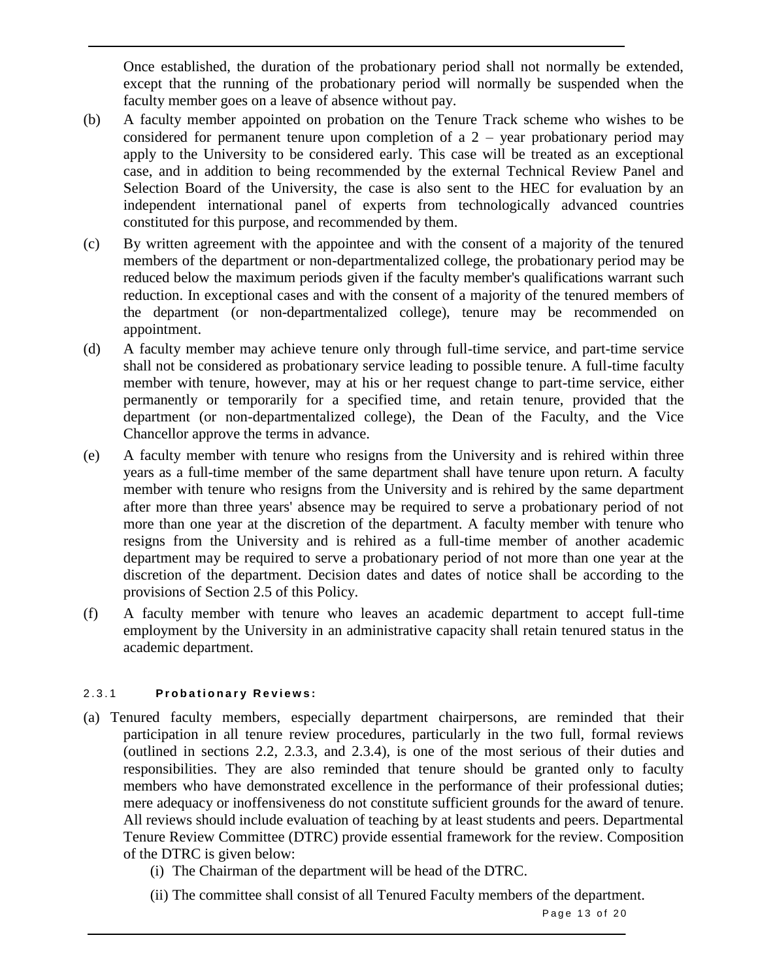Once established, the duration of the probationary period shall not normally be extended, except that the running of the probationary period will normally be suspended when the faculty member goes on a leave of absence without pay.

- (b) A faculty member appointed on probation on the Tenure Track scheme who wishes to be considered for permanent tenure upon completion of a  $2$  – year probationary period may apply to the University to be considered early. This case will be treated as an exceptional case, and in addition to being recommended by the external Technical Review Panel and Selection Board of the University, the case is also sent to the HEC for evaluation by an independent international panel of experts from technologically advanced countries constituted for this purpose, and recommended by them.
- (c) By written agreement with the appointee and with the consent of a majority of the tenured members of the department or non-departmentalized college, the probationary period may be reduced below the maximum periods given if the faculty member's qualifications warrant such reduction. In exceptional cases and with the consent of a majority of the tenured members of the department (or non-departmentalized college), tenure may be recommended on appointment.
- (d) A faculty member may achieve tenure only through full-time service, and part-time service shall not be considered as probationary service leading to possible tenure. A full-time faculty member with tenure, however, may at his or her request change to part-time service, either permanently or temporarily for a specified time, and retain tenure, provided that the department (or non-departmentalized college), the Dean of the Faculty, and the Vice Chancellor approve the terms in advance.
- (e) A faculty member with tenure who resigns from the University and is rehired within three years as a full-time member of the same department shall have tenure upon return. A faculty member with tenure who resigns from the University and is rehired by the same department after more than three years' absence may be required to serve a probationary period of not more than one year at the discretion of the department. A faculty member with tenure who resigns from the University and is rehired as a full-time member of another academic department may be required to serve a probationary period of not more than one year at the discretion of the department. Decision dates and dates of notice shall be according to the provisions of Section 2.5 of this Policy.
- (f) A faculty member with tenure who leaves an academic department to accept full-time employment by the University in an administrative capacity shall retain tenured status in the academic department.

### 2 . 3 . 1 **P r o b a t i o n a r y R e v i e w s :**

- (a) Tenured faculty members, especially department chairpersons, are reminded that their participation in all tenure review procedures, particularly in the two full, formal reviews (outlined in sections 2.2, 2.3.3, and 2.3.4), is one of the most serious of their duties and responsibilities. They are also reminded that tenure should be granted only to faculty members who have demonstrated excellence in the performance of their professional duties; mere adequacy or inoffensiveness do not constitute sufficient grounds for the award of tenure. All reviews should include evaluation of teaching by at least students and peers. Departmental Tenure Review Committee (DTRC) provide essential framework for the review. Composition of the DTRC is given below:
	- (i) The Chairman of the department will be head of the DTRC.
	- (ii) The committee shall consist of all Tenured Faculty members of the department.

Page 13 of 20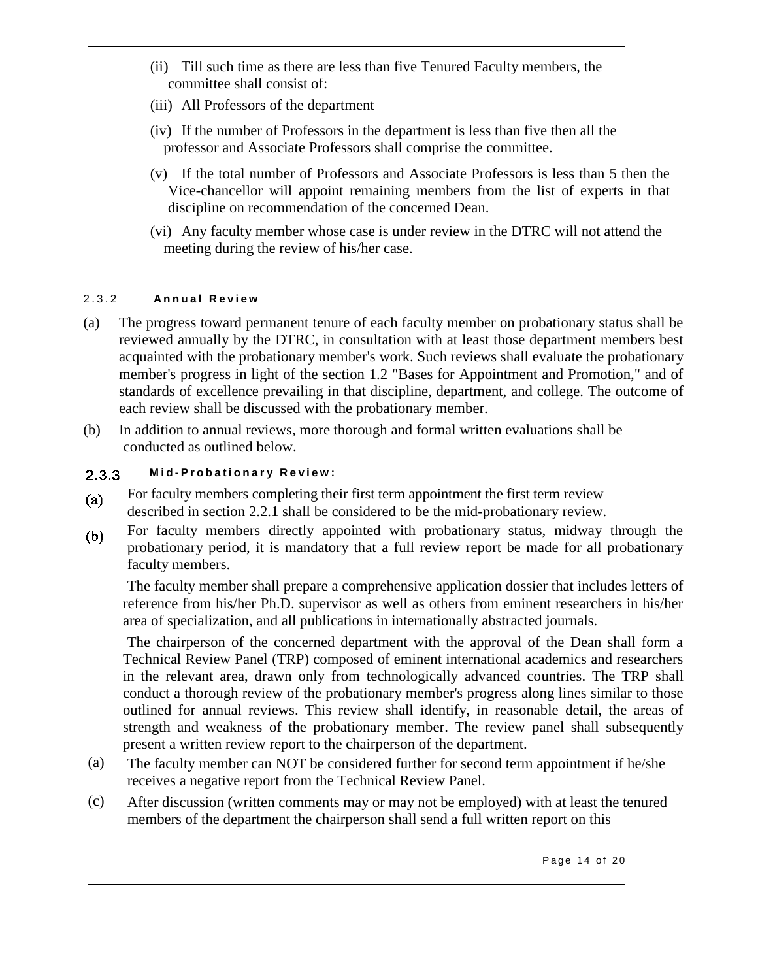- (ii) Till such time as there are less than five Tenured Faculty members, the committee shall consist of:
- (iii) All Professors of the department
- (iv) If the number of Professors in the department is less than five then all the professor and Associate Professors shall comprise the committee.
- (v) If the total number of Professors and Associate Professors is less than 5 then the Vice-chancellor will appoint remaining members from the list of experts in that discipline on recommendation of the concerned Dean.
- (vi) Any faculty member whose case is under review in the DTRC will not attend the meeting during the review of his/her case.

### 2 . 3 . 2 **A n n u a l R e v i e w**

- (a) The progress toward permanent tenure of each faculty member on probationary status shall be reviewed annually by the DTRC, in consultation with at least those department members best acquainted with the probationary member's work. Such reviews shall evaluate the probationary member's progress in light of the section 1.2 "Bases for Appointment and Promotion," and of standards of excellence prevailing in that discipline, department, and college. The outcome of each review shall be discussed with the probationary member.
- (b) In addition to annual reviews, more thorough and formal written evaluations shall be conducted as outlined below.

#### **M i d - P r o b a t i o n a r y R e v i e w :**  $2.3.3$

- For faculty members completing their first term appointment the first term review  $(a)$ described in section 2.2.1 shall be considered to be the mid-probationary review.
- For faculty members directly appointed with probationary status, midway through the  $(b)$ probationary period, it is mandatory that a full review report be made for all probationary faculty members.

The faculty member shall prepare a comprehensive application dossier that includes letters of reference from his/her Ph.D. supervisor as well as others from eminent researchers in his/her area of specialization, and all publications in internationally abstracted journals.

The chairperson of the concerned department with the approval of the Dean shall form a Technical Review Panel (TRP) composed of eminent international academics and researchers in the relevant area, drawn only from technologically advanced countries. The TRP shall conduct a thorough review of the probationary member's progress along lines similar to those outlined for annual reviews. This review shall identify, in reasonable detail, the areas of strength and weakness of the probationary member. The review panel shall subsequently present a written review report to the chairperson of the department.

- The faculty member can NOT be considered further for second term appointment if he/she receives a negative report from the Technical Review Panel. (a)
- After discussion (written comments may or may not be employed) with at least the tenured members of the department the chairperson shall send a full written report on this (c)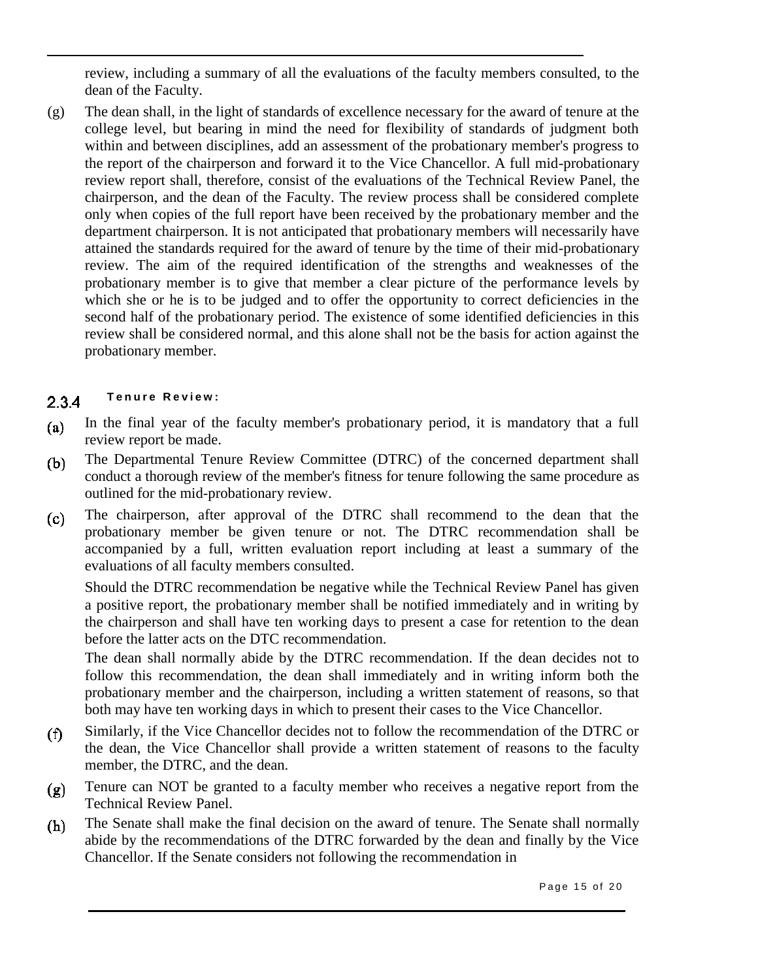review, including a summary of all the evaluations of the faculty members consulted, to the dean of the Faculty.

The dean shall, in the light of standards of excellence necessary for the award of tenure at the college level, but bearing in mind the need for flexibility of standards of judgment both within and between disciplines, add an assessment of the probationary member's progress to the report of the chairperson and forward it to the Vice Chancellor. A full mid-probationary review report shall, therefore, consist of the evaluations of the Technical Review Panel, the chairperson, and the dean of the Faculty. The review process shall be considered complete only when copies of the full report have been received by the probationary member and the department chairperson. It is not anticipated that probationary members will necessarily have attained the standards required for the award of tenure by the time of their mid-probationary review. The aim of the required identification of the strengths and weaknesses of the probationary member is to give that member a clear picture of the performance levels by which she or he is to be judged and to offer the opportunity to correct deficiencies in the second half of the probationary period. The existence of some identified deficiencies in this review shall be considered normal, and this alone shall not be the basis for action against the probationary member. (g)

#### **Tenure Review:**  $2.3.4$

- In the final year of the faculty member's probationary period, it is mandatory that a full  $(a)$ review report be made.
- The Departmental Tenure Review Committee (DTRC) of the concerned department shall  $(b)$ conduct a thorough review of the member's fitness for tenure following the same procedure as outlined for the mid-probationary review.
- The chairperson, after approval of the DTRC shall recommend to the dean that the  $(c)$ probationary member be given tenure or not. The DTRC recommendation shall be accompanied by a full, written evaluation report including at least a summary of the evaluations of all faculty members consulted.

Should the DTRC recommendation be negative while the Technical Review Panel has given a positive report, the probationary member shall be notified immediately and in writing by the chairperson and shall have ten working days to present a case for retention to the dean before the latter acts on the DTC recommendation.

The dean shall normally abide by the DTRC recommendation. If the dean decides not to follow this recommendation, the dean shall immediately and in writing inform both the probationary member and the chairperson, including a written statement of reasons, so that both may have ten working days in which to present their cases to the Vice Chancellor.

- Similarly, if the Vice Chancellor decides not to follow the recommendation of the DTRC or  $(f)$ the dean, the Vice Chancellor shall provide a written statement of reasons to the faculty member, the DTRC, and the dean.
- Tenure can NOT be granted to a faculty member who receives a negative report from the  $(g)$ Technical Review Panel.
- The Senate shall make the final decision on the award of tenure. The Senate shall normally  $(h)$ abide by the recommendations of the DTRC forwarded by the dean and finally by the Vice Chancellor. If the Senate considers not following the recommendation in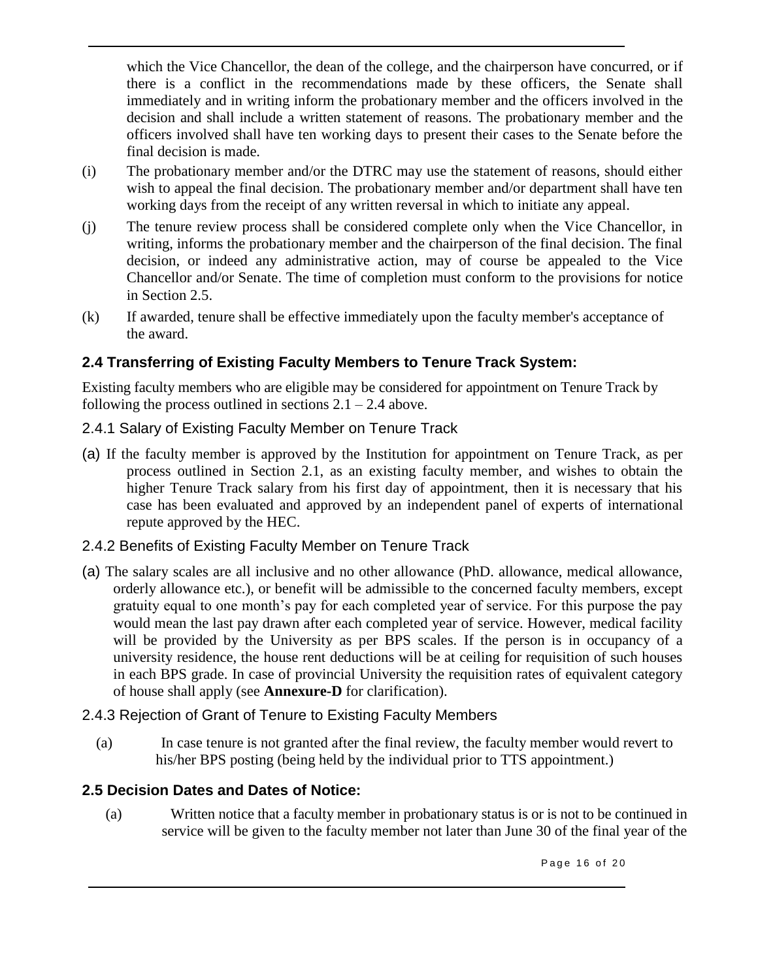which the Vice Chancellor, the dean of the college, and the chairperson have concurred, or if there is a conflict in the recommendations made by these officers, the Senate shall immediately and in writing inform the probationary member and the officers involved in the decision and shall include a written statement of reasons. The probationary member and the officers involved shall have ten working days to present their cases to the Senate before the final decision is made.

- (i) The probationary member and/or the DTRC may use the statement of reasons, should either wish to appeal the final decision. The probationary member and/or department shall have ten working days from the receipt of any written reversal in which to initiate any appeal.
- (j) The tenure review process shall be considered complete only when the Vice Chancellor, in writing, informs the probationary member and the chairperson of the final decision. The final decision, or indeed any administrative action, may of course be appealed to the Vice Chancellor and/or Senate. The time of completion must conform to the provisions for notice in Section 2.5.
- (k) If awarded, tenure shall be effective immediately upon the faculty member's acceptance of the award.

### **2.4 Transferring of Existing Faculty Members to Tenure Track System:**

Existing faculty members who are eligible may be considered for appointment on Tenure Track by following the process outlined in sections  $2.1 - 2.4$  above.

### 2.4.1 Salary of Existing Faculty Member on Tenure Track

(a) If the faculty member is approved by the Institution for appointment on Tenure Track, as per process outlined in Section 2.1, as an existing faculty member, and wishes to obtain the higher Tenure Track salary from his first day of appointment, then it is necessary that his case has been evaluated and approved by an independent panel of experts of international repute approved by the HEC.

### 2.4.2 Benefits of Existing Faculty Member on Tenure Track

- (a) The salary scales are all inclusive and no other allowance (PhD. allowance, medical allowance, orderly allowance etc.), or benefit will be admissible to the concerned faculty members, except gratuity equal to one month's pay for each completed year of service. For this purpose the pay would mean the last pay drawn after each completed year of service. However, medical facility will be provided by the University as per BPS scales. If the person is in occupancy of a university residence, the house rent deductions will be at ceiling for requisition of such houses in each BPS grade. In case of provincial University the requisition rates of equivalent category of house shall apply (see **Annexure-D** for clarification).
- 2.4.3 Rejection of Grant of Tenure to Existing Faculty Members
	- (a) In case tenure is not granted after the final review, the faculty member would revert to his/her BPS posting (being held by the individual prior to TTS appointment.)

### **2.5 Decision Dates and Dates of Notice:**

(a) Written notice that a faculty member in probationary status is or is not to be continued in service will be given to the faculty member not later than June 30 of the final year of the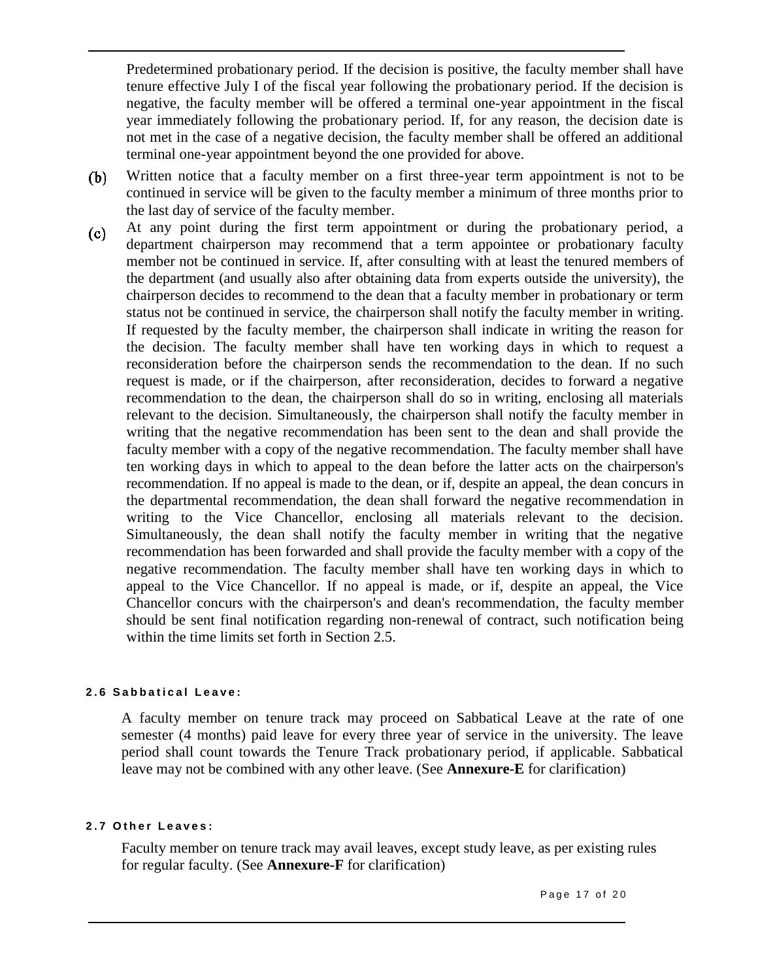Predetermined probationary period. If the decision is positive, the faculty member shall have tenure effective July I of the fiscal year following the probationary period. If the decision is negative, the faculty member will be offered a terminal one-year appointment in the fiscal year immediately following the probationary period. If, for any reason, the decision date is not met in the case of a negative decision, the faculty member shall be offered an additional terminal one-year appointment beyond the one provided for above.

- Written notice that a faculty member on a first three-year term appointment is not to be  $(b)$ continued in service will be given to the faculty member a minimum of three months prior to the last day of service of the faculty member.
- At any point during the first term appointment or during the probationary period, a  $(c)$ department chairperson may recommend that a term appointee or probationary faculty member not be continued in service. If, after consulting with at least the tenured members of the department (and usually also after obtaining data from experts outside the university), the chairperson decides to recommend to the dean that a faculty member in probationary or term status not be continued in service, the chairperson shall notify the faculty member in writing. If requested by the faculty member, the chairperson shall indicate in writing the reason for the decision. The faculty member shall have ten working days in which to request a reconsideration before the chairperson sends the recommendation to the dean. If no such request is made, or if the chairperson, after reconsideration, decides to forward a negative recommendation to the dean, the chairperson shall do so in writing, enclosing all materials relevant to the decision. Simultaneously, the chairperson shall notify the faculty member in writing that the negative recommendation has been sent to the dean and shall provide the faculty member with a copy of the negative recommendation. The faculty member shall have ten working days in which to appeal to the dean before the latter acts on the chairperson's recommendation. If no appeal is made to the dean, or if, despite an appeal, the dean concurs in the departmental recommendation, the dean shall forward the negative recommendation in writing to the Vice Chancellor, enclosing all materials relevant to the decision. Simultaneously, the dean shall notify the faculty member in writing that the negative recommendation has been forwarded and shall provide the faculty member with a copy of the negative recommendation. The faculty member shall have ten working days in which to appeal to the Vice Chancellor. If no appeal is made, or if, despite an appeal, the Vice Chancellor concurs with the chairperson's and dean's recommendation, the faculty member should be sent final notification regarding non-renewal of contract, such notification being within the time limits set forth in Section 2.5.

### **2 . 6 S a b b a t i c a l L e a v e :**

A faculty member on tenure track may proceed on Sabbatical Leave at the rate of one semester (4 months) paid leave for every three year of service in the university. The leave period shall count towards the Tenure Track probationary period, if applicable. Sabbatical leave may not be combined with any other leave. (See **Annexure-E** for clarification)

### **2 . 7 O t h e r L e a v e s :**

Faculty member on tenure track may avail leaves, except study leave, as per existing rules for regular faculty. (See **Annexure-F** for clarification)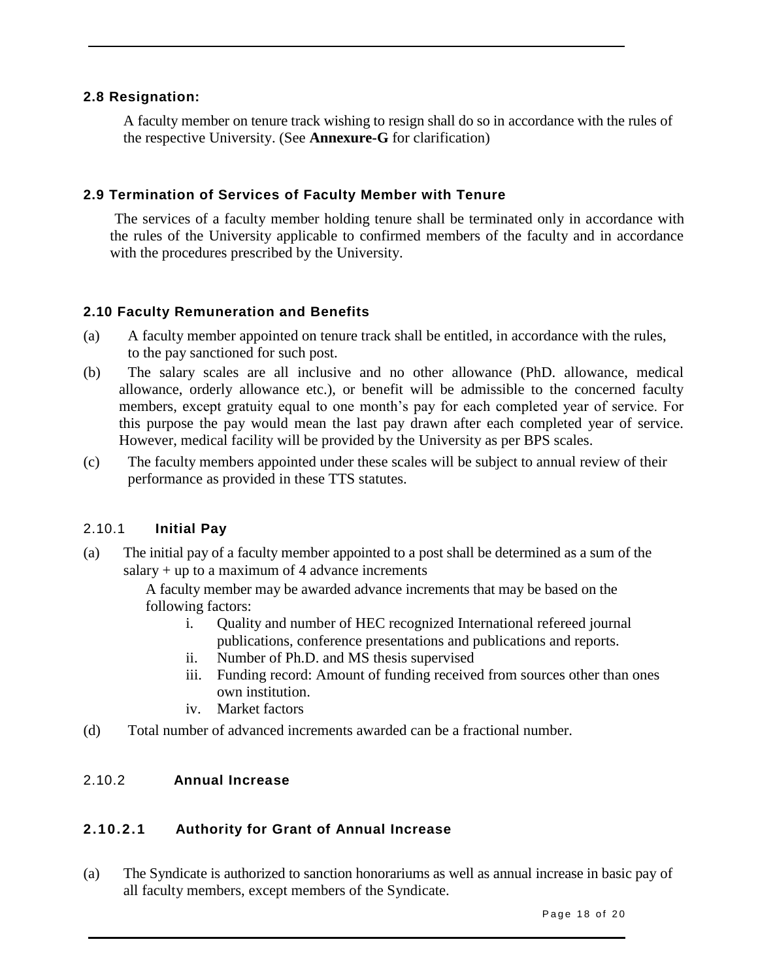### **2.8 Resignation:**

A faculty member on tenure track wishing to resign shall do so in accordance with the rules of the respective University. (See **Annexure-G** for clarification)

### **2.9 Termination of Services of Faculty Member with Tenure**

The services of a faculty member holding tenure shall be terminated only in accordance with the rules of the University applicable to confirmed members of the faculty and in accordance with the procedures prescribed by the University.

### **2.10 Faculty Remuneration and Benefits**

- (a) A faculty member appointed on tenure track shall be entitled, in accordance with the rules, to the pay sanctioned for such post.
- (b) The salary scales are all inclusive and no other allowance (PhD. allowance, medical allowance, orderly allowance etc.), or benefit will be admissible to the concerned faculty members, except gratuity equal to one month's pay for each completed year of service. For this purpose the pay would mean the last pay drawn after each completed year of service. However, medical facility will be provided by the University as per BPS scales.
- (c) The faculty members appointed under these scales will be subject to annual review of their performance as provided in these TTS statutes.

### 2.10.1 **Initial Pay**

(a) The initial pay of a faculty member appointed to a post shall be determined as a sum of the salary  $+$  up to a maximum of 4 advance increments

> A faculty member may be awarded advance increments that may be based on the following factors:

- i. Quality and number of HEC recognized International refereed journal publications, conference presentations and publications and reports.
- ii. Number of Ph.D. and MS thesis supervised
- iii. Funding record: Amount of funding received from sources other than ones own institution.
- iv. Market factors
- (d) Total number of advanced increments awarded can be a fractional number.

### 2.10.2 **Annual Increase**

### **2.10.2.1 Authority for Grant of Annual Increase**

(a) The Syndicate is authorized to sanction honorariums as well as annual increase in basic pay of all faculty members, except members of the Syndicate.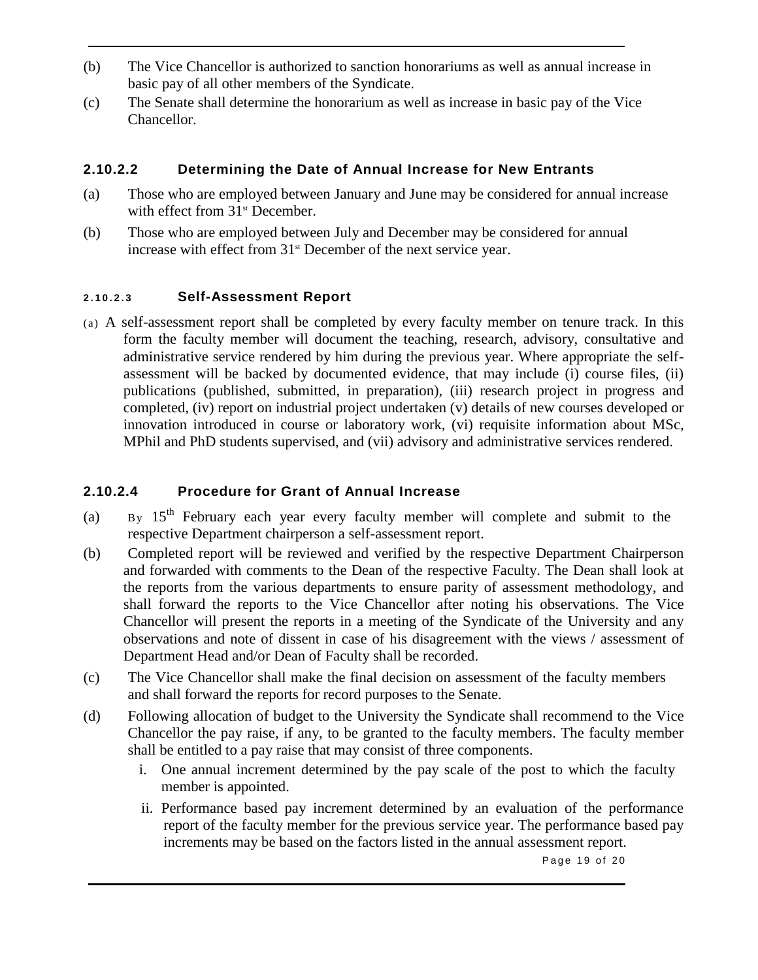- (b) The Vice Chancellor is authorized to sanction honorariums as well as annual increase in basic pay of all other members of the Syndicate.
- (c) The Senate shall determine the honorarium as well as increase in basic pay of the Vice Chancellor.

### **2.10.2.2 Determining the Date of Annual Increase for New Entrants**

- (a) Those who are employed between January and June may be considered for annual increase with effect from 31<sup>st</sup> December.
- (b) Those who are employed between July and December may be considered for annual increase with effect from  $31<sup>st</sup>$  December of the next service year.

### **2 . 1 0 . 2 . 3 Self-Assessment Report**

(a) A self-assessment report shall be completed by every faculty member on tenure track. In this form the faculty member will document the teaching, research, advisory, consultative and administrative service rendered by him during the previous year. Where appropriate the selfassessment will be backed by documented evidence, that may include (i) course files, (ii) publications (published, submitted, in preparation), (iii) research project in progress and completed, (iv) report on industrial project undertaken (v) details of new courses developed or innovation introduced in course or laboratory work, (vi) requisite information about MSc, MPhil and PhD students supervised, and (vii) advisory and administrative services rendered.

### **2.10.2.4 Procedure for Grant of Annual Increase**

- (a)  $B_y$  15<sup>th</sup> February each year every faculty member will complete and submit to the respective Department chairperson a self-assessment report.
- (b) Completed report will be reviewed and verified by the respective Department Chairperson and forwarded with comments to the Dean of the respective Faculty. The Dean shall look at the reports from the various departments to ensure parity of assessment methodology, and shall forward the reports to the Vice Chancellor after noting his observations. The Vice Chancellor will present the reports in a meeting of the Syndicate of the University and any observations and note of dissent in case of his disagreement with the views / assessment of Department Head and/or Dean of Faculty shall be recorded.
- (c) The Vice Chancellor shall make the final decision on assessment of the faculty members and shall forward the reports for record purposes to the Senate.
- (d) Following allocation of budget to the University the Syndicate shall recommend to the Vice Chancellor the pay raise, if any, to be granted to the faculty members. The faculty member shall be entitled to a pay raise that may consist of three components.
	- i. One annual increment determined by the pay scale of the post to which the faculty member is appointed.
	- ii. Performance based pay increment determined by an evaluation of the performance report of the faculty member for the previous service year. The performance based pay increments may be based on the factors listed in the annual assessment report.

Page 19 of 20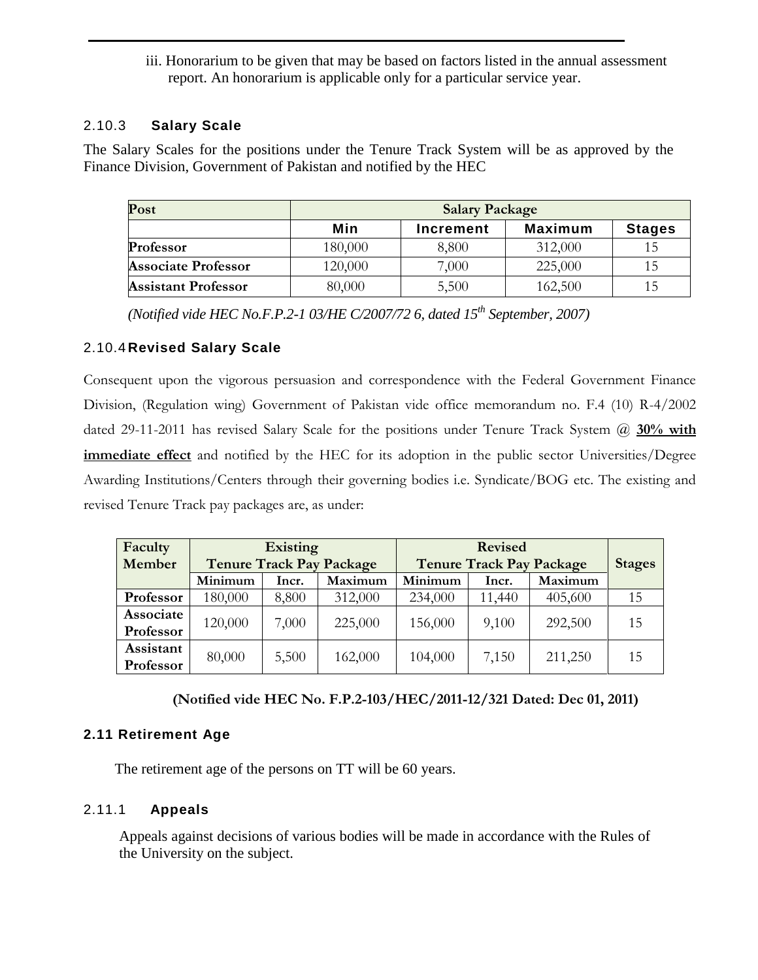iii. Honorarium to be given that may be based on factors listed in the annual assessment report. An honorarium is applicable only for a particular service year.

### 2.10.3 **Salary Scale**

The Salary Scales for the positions under the Tenure Track System will be as approved by the Finance Division, Government of Pakistan and notified by the HEC

| Post                       | <b>Salary Package</b> |           |         |               |  |  |  |
|----------------------------|-----------------------|-----------|---------|---------------|--|--|--|
|                            | Min                   | Increment | Maximum | <b>Stages</b> |  |  |  |
| Professor                  | 180,000               | 8,800     | 312,000 | 15            |  |  |  |
| <b>Associate Professor</b> | 120,000               | 7,000     | 225,000 | 15            |  |  |  |
| <b>Assistant Professor</b> | 80,000                | 5,500     | 162,500 | 15            |  |  |  |

*(Notified vide HEC No.F.P.2-1 03/HE C/2007/72 6, dated 15th September, 2007)* 

### 2.10.4 **Revised Salary Scale**

Consequent upon the vigorous persuasion and correspondence with the Federal Government Finance Division, (Regulation wing) Government of Pakistan vide office memorandum no. F.4 (10) R-4/2002 dated 29-11-2011 has revised Salary Scale for the positions under Tenure Track System @ 30% with **immediate effect** and notified by the HEC for its adoption in the public sector Universities/Degree Awarding Institutions/Centers through their governing bodies i.e. Syndicate/BOG etc. The existing and revised Tenure Track pay packages are, as under:

| Faculty<br>Member      | <b>Existing</b><br><b>Tenure Track Pay Package</b> |       |         | <b>Revised</b><br><b>Tenure Track Pay Package</b> |        |         | <b>Stages</b> |
|------------------------|----------------------------------------------------|-------|---------|---------------------------------------------------|--------|---------|---------------|
|                        | Minimum                                            | Incr. | Maximum | Minimum                                           | Incr.  | Maximum |               |
| Professor              | 180,000                                            | 8,800 | 312,000 | 234,000                                           | 11,440 | 405,600 | 15            |
| Associate<br>Professor | 120,000                                            | 7,000 | 225,000 | 156,000                                           | 9,100  | 292,500 | 15            |
| Assistant<br>Professor | 80,000                                             | 5,500 | 162,000 | 104,000                                           | 7,150  | 211,250 | 15            |

 **(Notified vide HEC No. F.P.2-103/HEC/2011-12/321 Dated: Dec 01, 2011)**

### **2.11 Retirement Age**

The retirement age of the persons on TT will be 60 years.

### 2.11.1 **Appeals**

Appeals against decisions of various bodies will be made in accordance with the Rules of the University on the subject.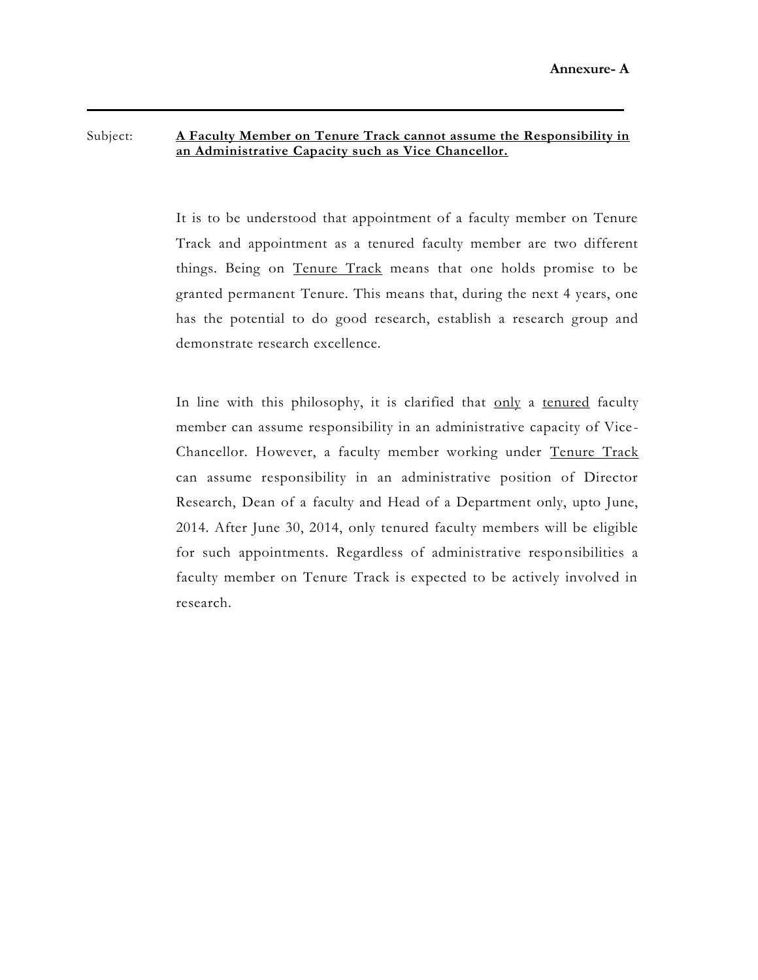### Subject: **A Faculty Member on Tenure Track cannot assume the Responsibility in an Administrative Capacity such as Vice Chancellor.**

It is to be understood that appointment of a faculty member on Tenure Track and appointment as a tenured faculty member are two different things. Being on Tenure Track means that one holds promise to be granted permanent Tenure. This means that, during the next 4 years, one has the potential to do good research, establish a research group and demonstrate research excellence.

In line with this philosophy, it is clarified that only a tenured faculty member can assume responsibility in an administrative capacity of Vice - Chancellor. However, a faculty member working under Tenure Track can assume responsibility in an administrative position of Director Research, Dean of a faculty and Head of a Department only, upto June, 2014. After June 30, 2014, only tenured faculty members will be eligible for such appointments. Regardless of administrative responsibilities a faculty member on Tenure Track is expected to be actively involved in research.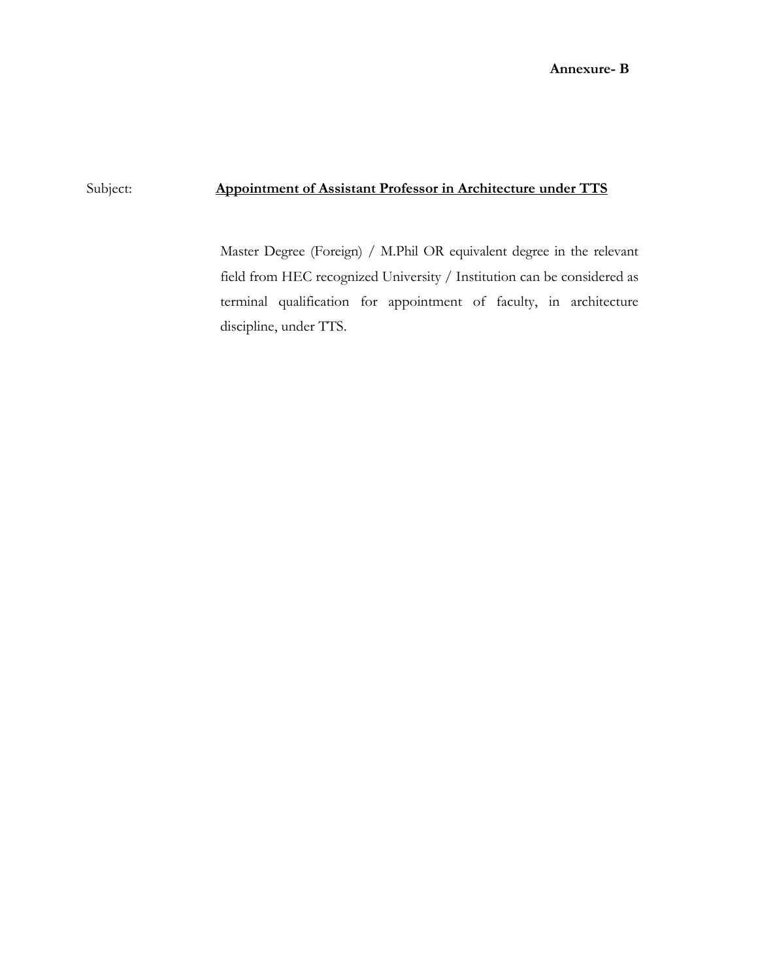### Subject: **Appointment of Assistant Professor in Architecture under TTS**

Master Degree (Foreign) / M.Phil OR equivalent degree in the relevant field from HEC recognized University / Institution can be considered as terminal qualification for appointment of faculty, in architecture discipline, under TTS.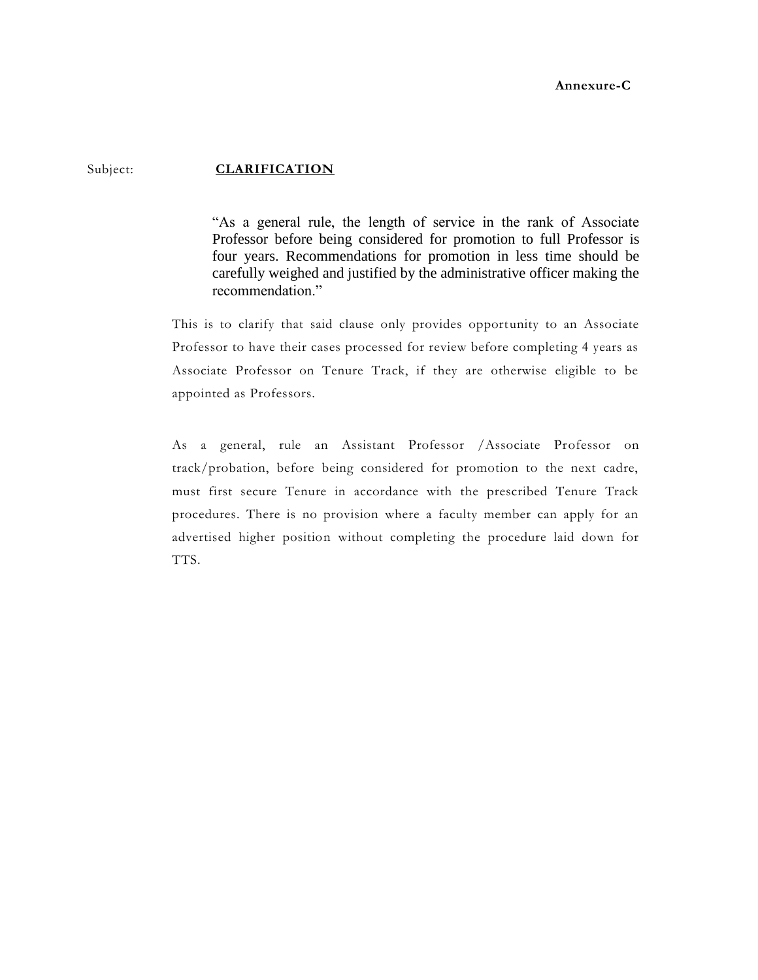Subject: **CLARIFICATION** 

"As a general rule, the length of service in the rank of Associate Professor before being considered for promotion to full Professor is four years. Recommendations for promotion in less time should be carefully weighed and justified by the administrative officer making the recommendation."

This is to clarify that said clause only provides opportunity to an Associate Professor to have their cases processed for review before completing 4 years as Associate Professor on Tenure Track, if they are otherwise eligible to be appointed as Professors.

As a general, rule an Assistant Professor /Associate Professor on track/probation, before being considered for promotion to the next cadre, must first secure Tenure in accordance with the prescribed Tenure Track procedures. There is no provision where a faculty member can apply for an advertised higher position without completing the procedure laid down for TTS.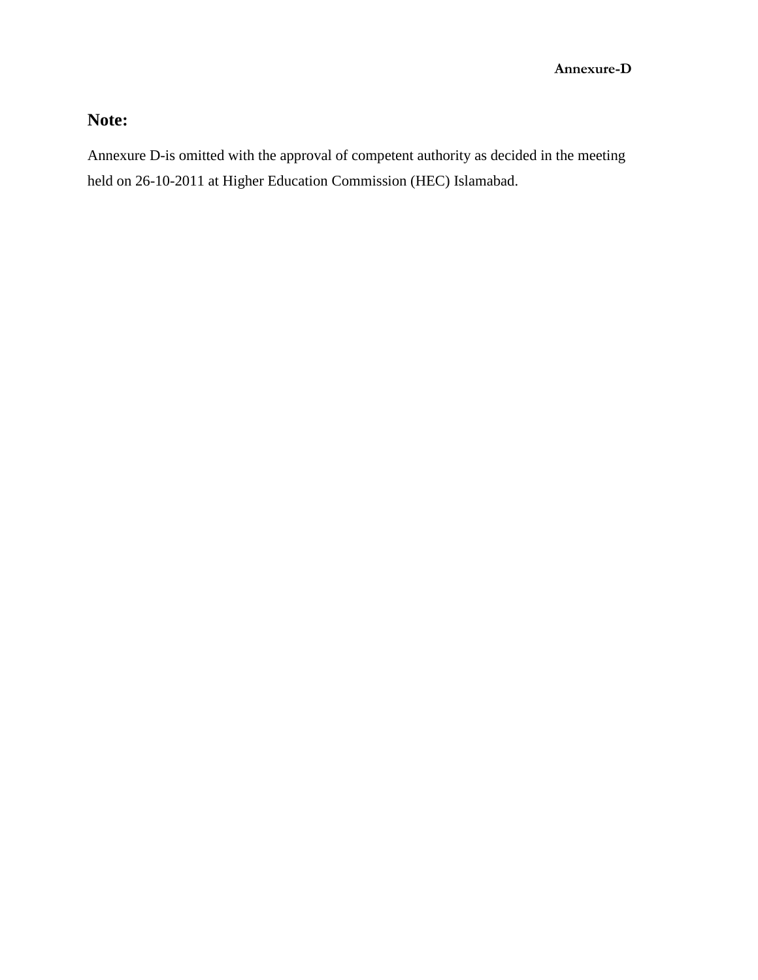# **Note:**

Annexure D-is omitted with the approval of competent authority as decided in the meeting held on 26-10-2011 at Higher Education Commission (HEC) Islamabad.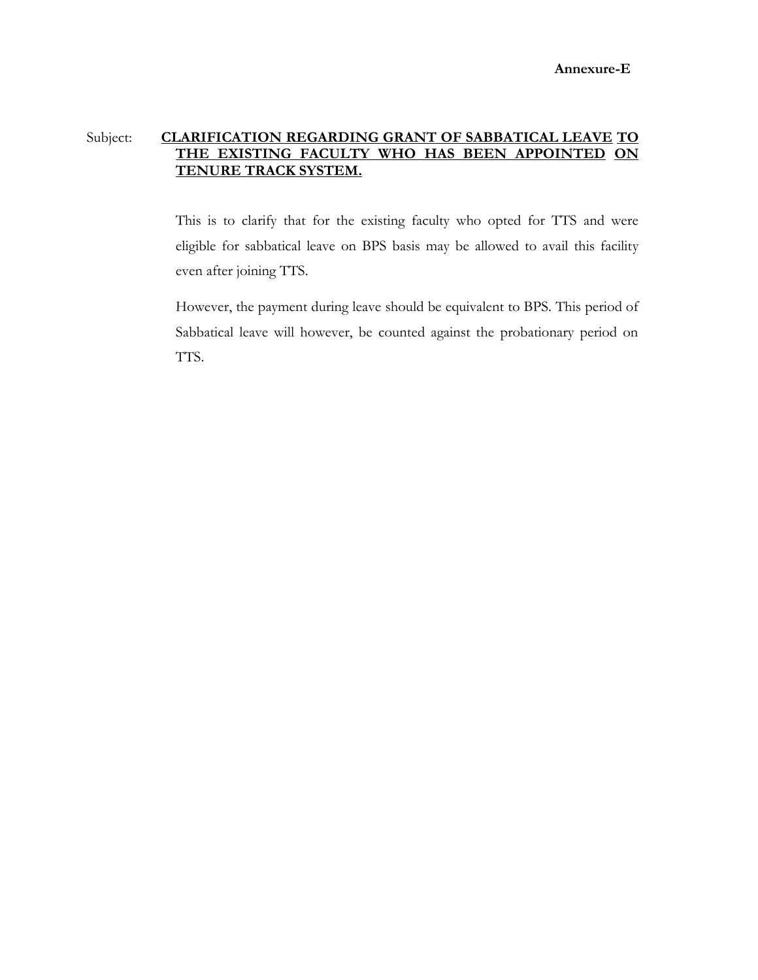### Subject: **CLARIFICATION REGARDING GRANT OF SABBATICAL LEAVE TO THE EXISTING FACULTY WHO HAS BEEN APPOINTED ON TENURE TRACK SYSTEM.**

This is to clarify that for the existing faculty who opted for TTS and were eligible for sabbatical leave on BPS basis may be allowed to avail this facility even after joining TTS.

However, the payment during leave should be equivalent to BPS. This period of Sabbatical leave will however, be counted against the probationary period on TTS.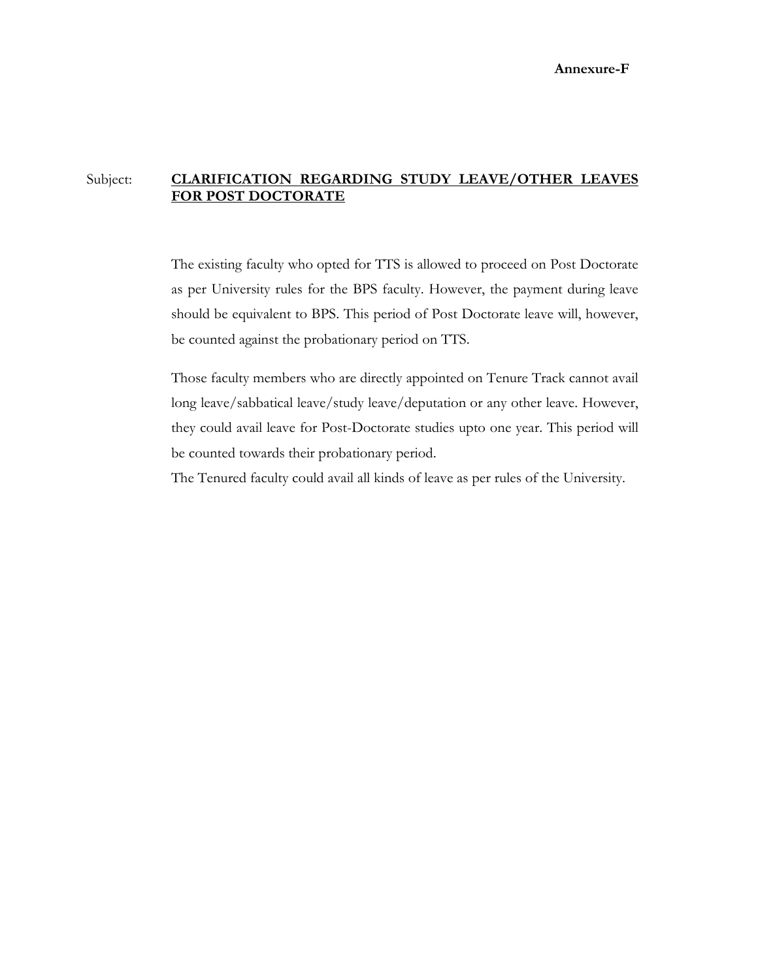### Subject: **CLARIFICATION REGARDING STUDY LEAVE/OTHER LEAVES FOR POST DOCTORATE**

The existing faculty who opted for TTS is allowed to proceed on Post Doctorate as per University rules for the BPS faculty. However, the payment during leave should be equivalent to BPS. This period of Post Doctorate leave will, however, be counted against the probationary period on TTS.

Those faculty members who are directly appointed on Tenure Track cannot avail long leave/sabbatical leave/study leave/deputation or any other leave. However, they could avail leave for Post-Doctorate studies upto one year. This period will be counted towards their probationary period.

The Tenured faculty could avail all kinds of leave as per rules of the University.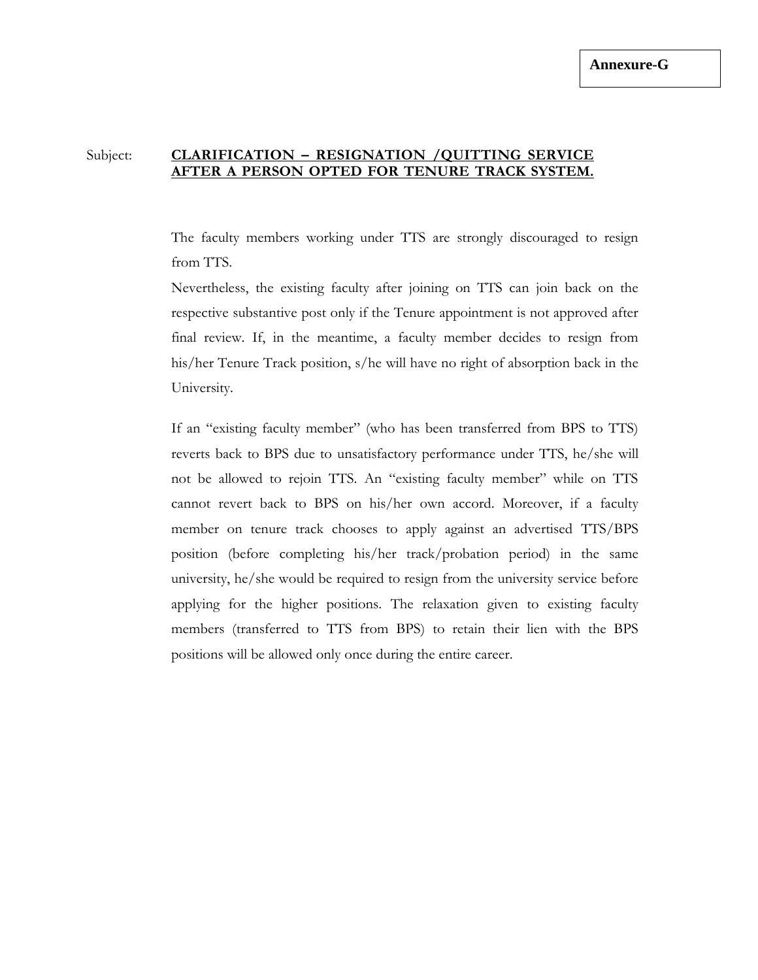### Subject: **CLARIFICATION – RESIGNATION /QUITTING SERVICE AFTER A PERSON OPTED FOR TENURE TRACK SYSTEM.**

The faculty members working under TTS are strongly discouraged to resign from TTS.

Nevertheless, the existing faculty after joining on TTS can join back on the respective substantive post only if the Tenure appointment is not approved after final review. If, in the meantime, a faculty member decides to resign from his/her Tenure Track position, s/he will have no right of absorption back in the University.

If an "existing faculty member" (who has been transferred from BPS to TTS) reverts back to BPS due to unsatisfactory performance under TTS, he/she will not be allowed to rejoin TTS. An "existing faculty member" while on TTS cannot revert back to BPS on his/her own accord. Moreover, if a faculty member on tenure track chooses to apply against an advertised TTS/BPS position (before completing his/her track/probation period) in the same university, he/she would be required to resign from the university service before applying for the higher positions. The relaxation given to existing faculty members (transferred to TTS from BPS) to retain their lien with the BPS positions will be allowed only once during the entire career.